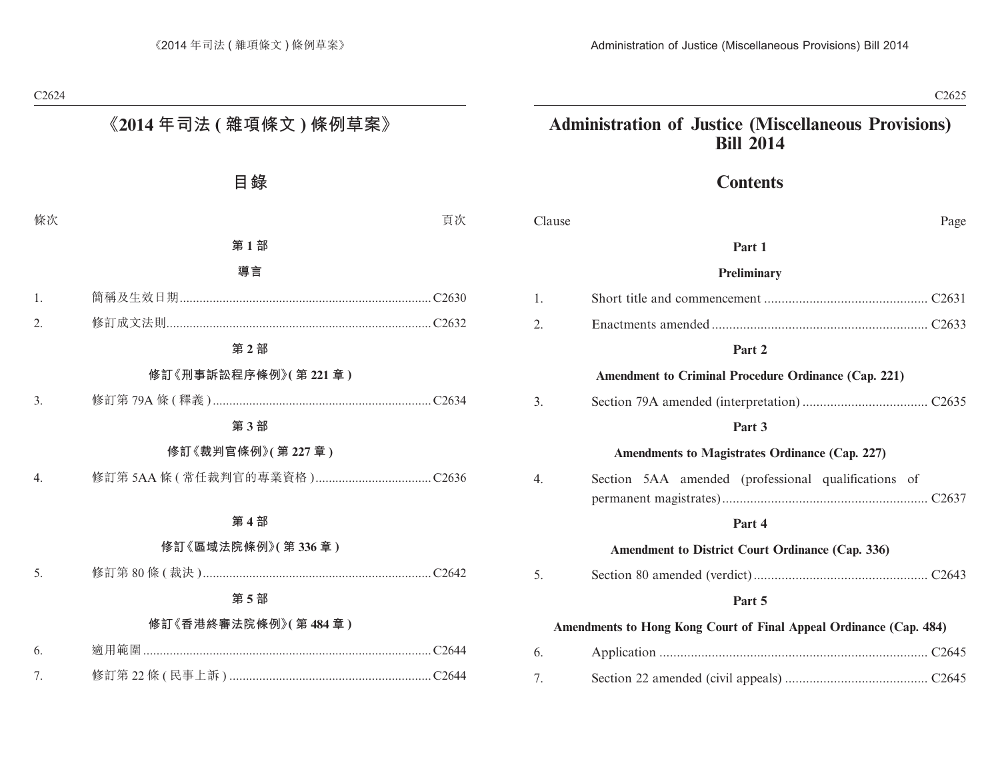# **Contents**

| Clause                                                             | Page                                                        |
|--------------------------------------------------------------------|-------------------------------------------------------------|
|                                                                    | Part 1                                                      |
|                                                                    | <b>Preliminary</b>                                          |
| 1.                                                                 |                                                             |
| 2.                                                                 |                                                             |
|                                                                    | Part 2                                                      |
|                                                                    | <b>Amendment to Criminal Procedure Ordinance (Cap. 221)</b> |
| 3.                                                                 |                                                             |
|                                                                    | Part 3                                                      |
|                                                                    | Amendments to Magistrates Ordinance (Cap. 227)              |
| 4.                                                                 | Section 5AA amended (professional qualifications of         |
|                                                                    | Part 4                                                      |
|                                                                    | Amendment to District Court Ordinance (Cap. 336)            |
| 5.                                                                 |                                                             |
|                                                                    | Part 5                                                      |
| Amendments to Hong Kong Court of Final Appeal Ordinance (Cap. 484) |                                                             |
| 6.                                                                 |                                                             |
| 7.                                                                 |                                                             |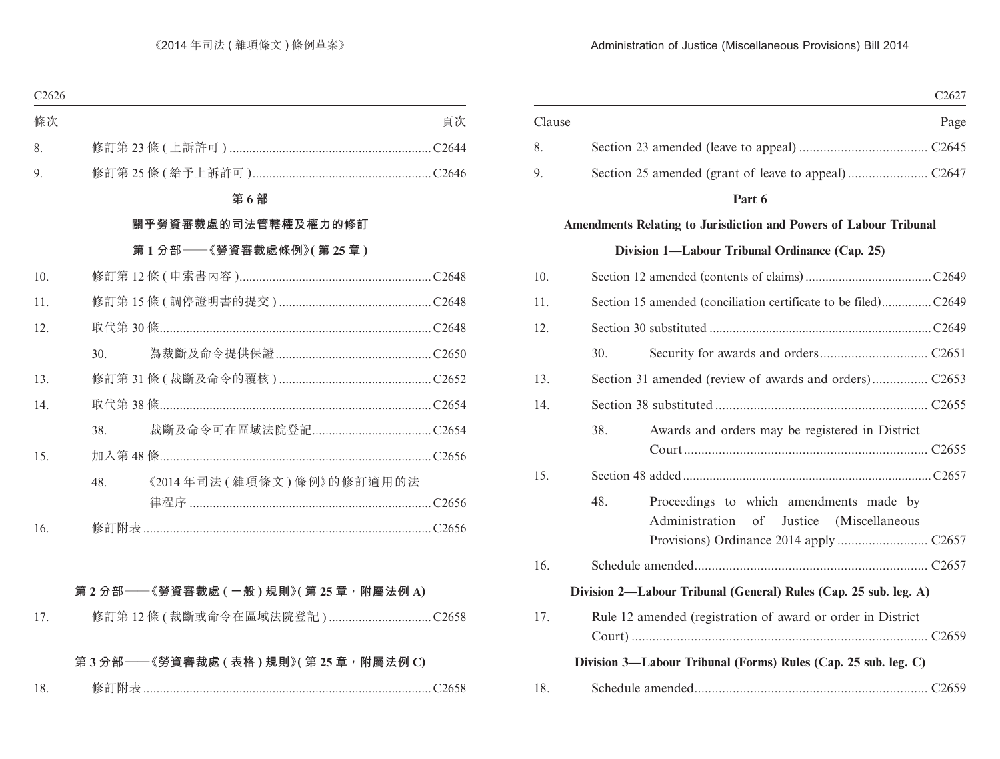|        |                                                                                                  | C <sub>2627</sub> |
|--------|--------------------------------------------------------------------------------------------------|-------------------|
| Clause |                                                                                                  | Page              |
| 8.     |                                                                                                  |                   |
| 9.     |                                                                                                  |                   |
|        | Part 6                                                                                           |                   |
|        | Amendments Relating to Jurisdiction and Powers of Labour Tribunal                                |                   |
|        | Division 1-Labour Tribunal Ordinance (Cap. 25)                                                   |                   |
| 10.    |                                                                                                  |                   |
| 11.    |                                                                                                  |                   |
| 12.    |                                                                                                  |                   |
|        | 30.                                                                                              |                   |
| 13.    |                                                                                                  |                   |
| 14.    |                                                                                                  |                   |
|        | 38.<br>Awards and orders may be registered in District                                           |                   |
| 15.    |                                                                                                  |                   |
|        | 48.<br>Proceedings to which amendments made by<br>Administration<br>of<br>Justice (Miscellaneous |                   |
| 16.    |                                                                                                  |                   |
|        | Division 2—Labour Tribunal (General) Rules (Cap. 25 sub. leg. A)                                 |                   |
| 17.    | Rule 12 amended (registration of award or order in District                                      |                   |
|        | Division 3-Labour Tribunal (Forms) Rules (Cap. 25 sub. leg. C)                                   |                   |
| 18.    |                                                                                                  |                   |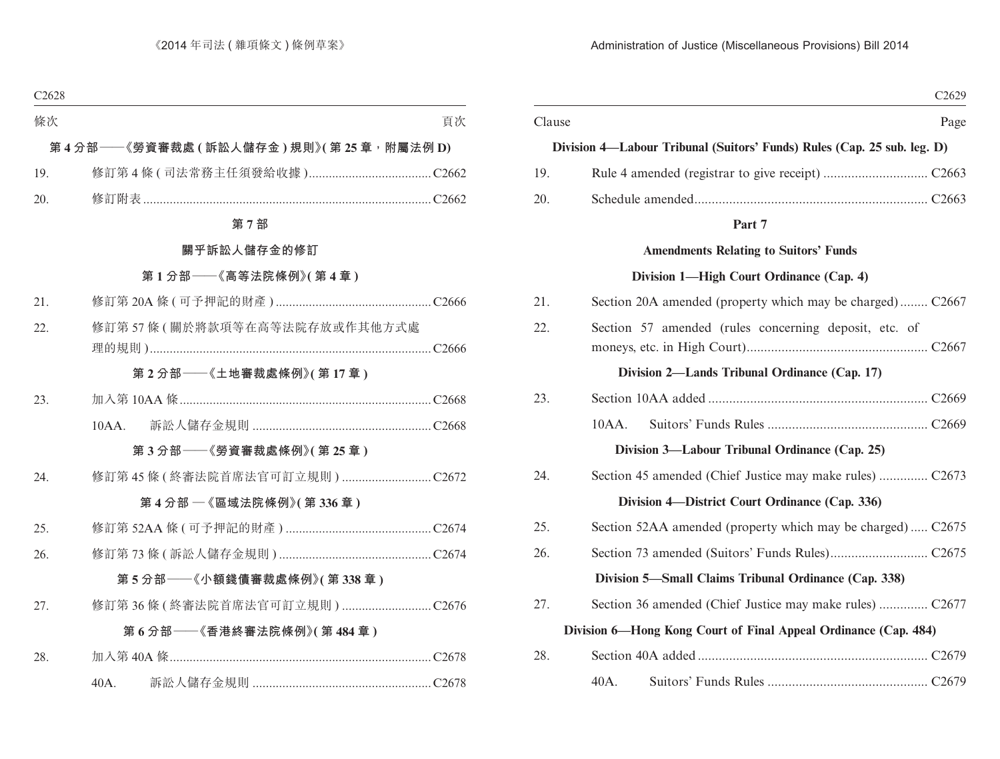|        |                                                                         | C <sub>2629</sub> |
|--------|-------------------------------------------------------------------------|-------------------|
| Clause |                                                                         | Page              |
|        | Division 4-Labour Tribunal (Suitors' Funds) Rules (Cap. 25 sub. leg. D) |                   |
| 19.    |                                                                         |                   |
| 20.    |                                                                         |                   |
|        | Part 7                                                                  |                   |
|        | <b>Amendments Relating to Suitors' Funds</b>                            |                   |
|        | Division 1—High Court Ordinance (Cap. 4)                                |                   |
| 21.    | Section 20A amended (property which may be charged) C2667               |                   |
| 22.    | Section 57 amended (rules concerning deposit, etc. of                   |                   |
|        | Division 2—Lands Tribunal Ordinance (Cap. 17)                           |                   |
| 23.    |                                                                         |                   |
|        | $10AA$ .                                                                |                   |
|        | Division 3—Labour Tribunal Ordinance (Cap. 25)                          |                   |
| 24.    |                                                                         |                   |
|        | Division 4—District Court Ordinance (Cap. 336)                          |                   |
| 25.    | Section 52AA amended (property which may be charged) C2675              |                   |
| 26.    |                                                                         |                   |
|        | Division 5—Small Claims Tribunal Ordinance (Cap. 338)                   |                   |
| 27.    | Section 36 amended (Chief Justice may make rules)  C2677                |                   |
|        | Division 6-Hong Kong Court of Final Appeal Ordinance (Cap. 484)         |                   |
| 28.    |                                                                         |                   |
|        | 40A.                                                                    |                   |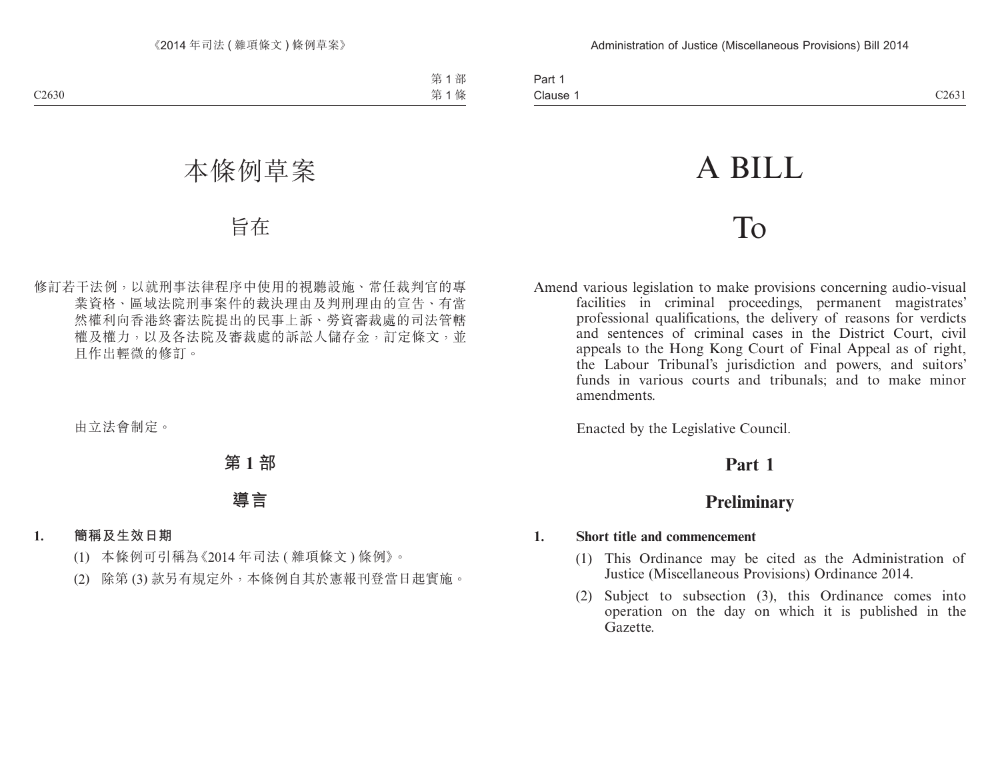| Part 1   |  |
|----------|--|
| Clause 1 |  |

# A BILL

# To

Amend various legislation to make provisions concerning audio-visual facilities in criminal proceedings, permanent magistrates' professional qualifications, the delivery of reasons for verdicts and sentences of criminal cases in the District Court, civil appeals to the Hong Kong Court of Final Appeal as of right, the Labour Tribunal's jurisdiction and powers, and suitors' funds in various courts and tribunals; and to make minor amendments.

Enacted by the Legislative Council.

# **Part 1**

# **Preliminary**

# **1. Short title and commencement**

- (1) This Ordinance may be cited as the Administration of Justice (Miscellaneous Provisions) Ordinance 2014.
- (2) Subject to subsection (3), this Ordinance comes into operation on the day on which it is published in the Gazette.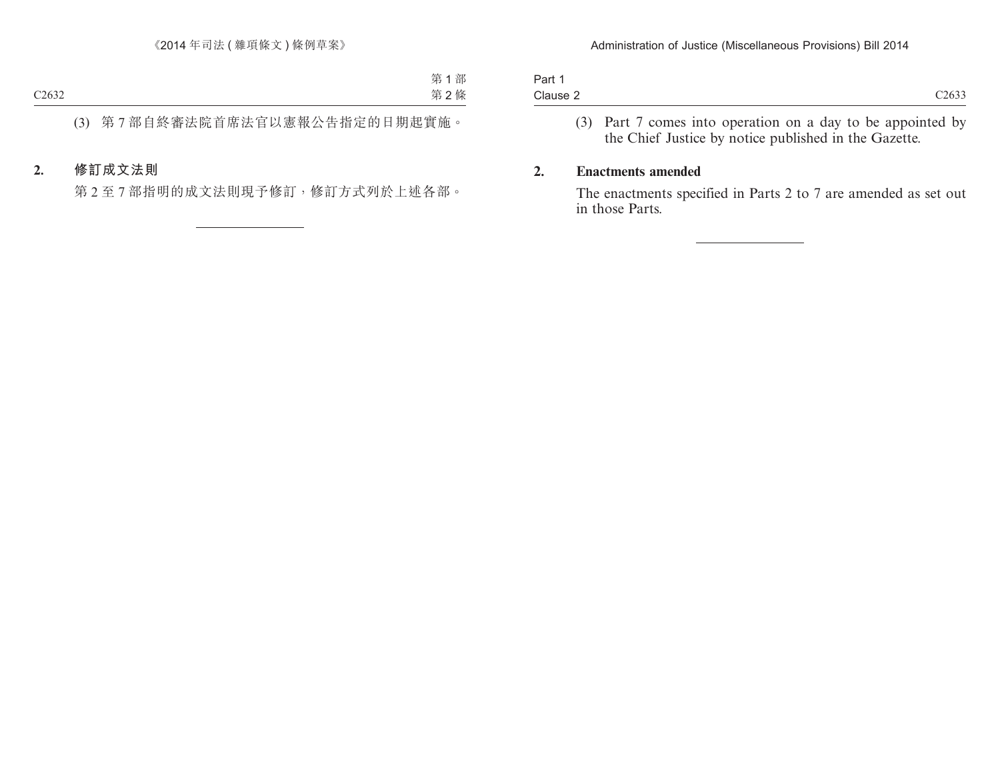| Part 1   |            |
|----------|------------|
| Clause 2 | $\sqrt{2}$ |

(3) Part 7 comes into operation on a day to be appointed by the Chief Justice by notice published in the Gazette.

# **2. Enactments amended**

The enactments specified in Parts 2 to 7 are amended as set out in those Parts.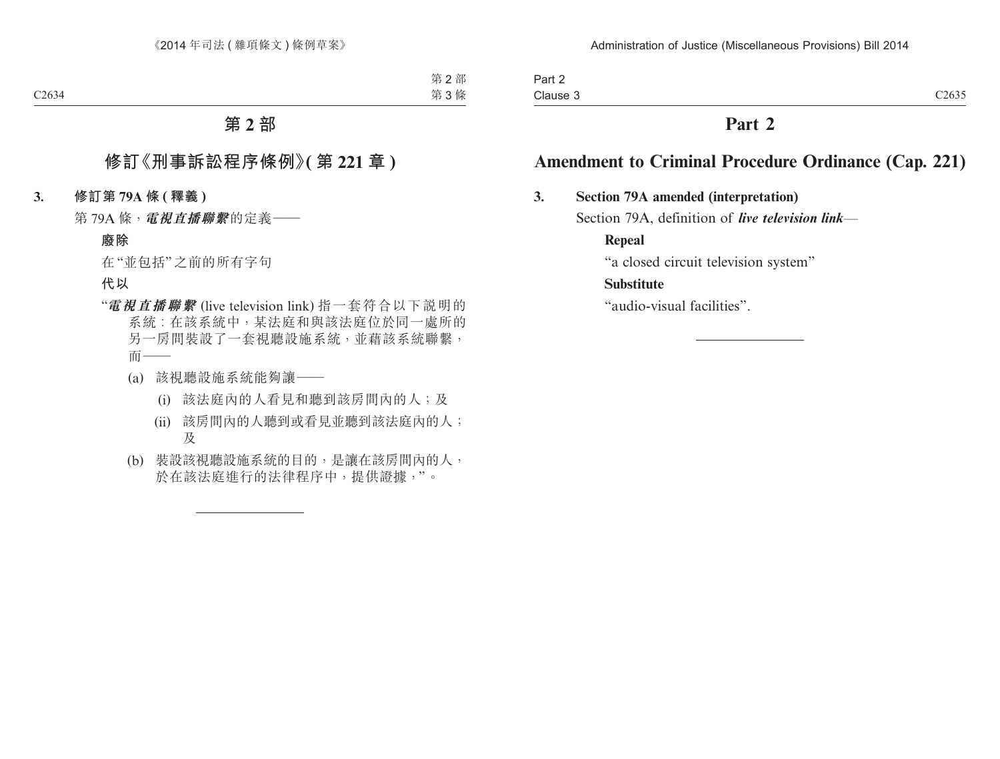# **Part 2**

# **Amendment to Criminal Procedure Ordinance (Cap. 221)**

# **3. Section 79A amended (interpretation)**

Section 79A, definition of *live television link*—

**Repeal**

"a closed circuit television system"

# **Substitute**

"audio-visual facilities".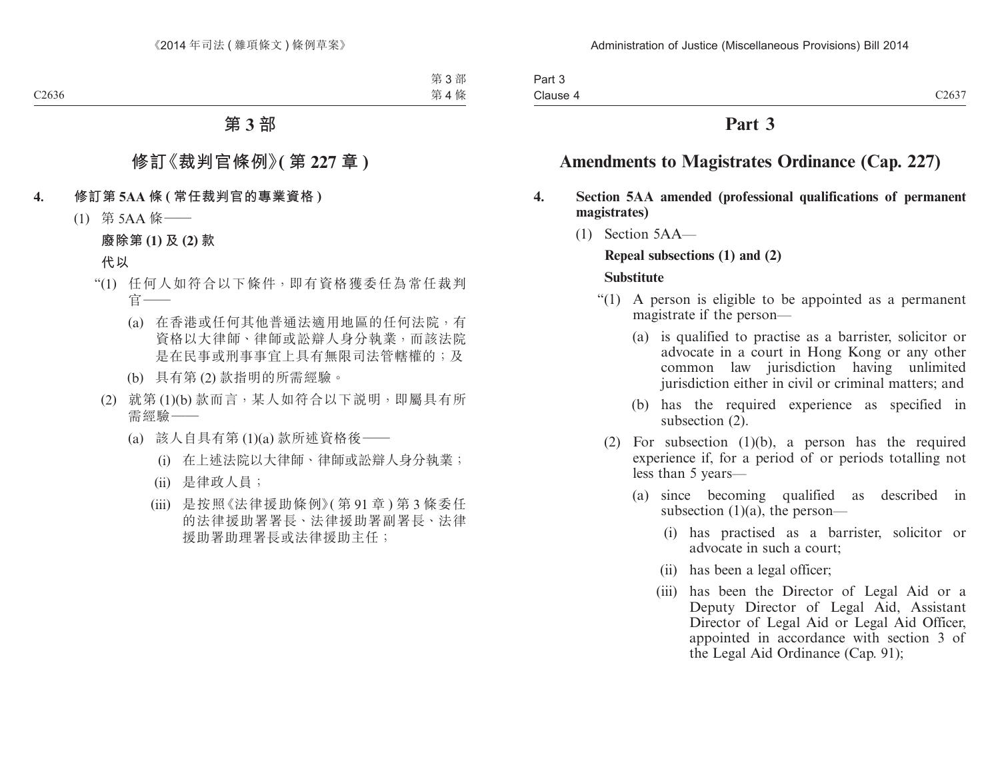# **Part 3**

# **Amendments to Magistrates Ordinance (Cap. 227)**

### **4. Section 5AA amended (professional qualifications of permanent magistrates)**

(1) Section 5AA—

# **Repeal subsections (1) and (2)**

#### **Substitute**

- "(1) A person is eligible to be appointed as a permanent magistrate if the person—
	- (a) is qualified to practise as a barrister, solicitor or advocate in a court in Hong Kong or any other common law jurisdiction having unlimited jurisdiction either in civil or criminal matters; and
	- (b) has the required experience as specified in subsection (2).
	- (2) For subsection (1)(b), a person has the required experience if, for a period of or periods totalling not less than 5 years—
		- (a) since becoming qualified as described in subsection  $(1)(a)$ , the person—
			- (i) has practised as a barrister, solicitor or advocate in such a court;
			- (ii) has been a legal officer;
			- (iii) has been the Director of Legal Aid or a Deputy Director of Legal Aid, Assistant Director of Legal Aid or Legal Aid Officer, appointed in accordance with section 3 of the Legal Aid Ordinance (Cap. 91);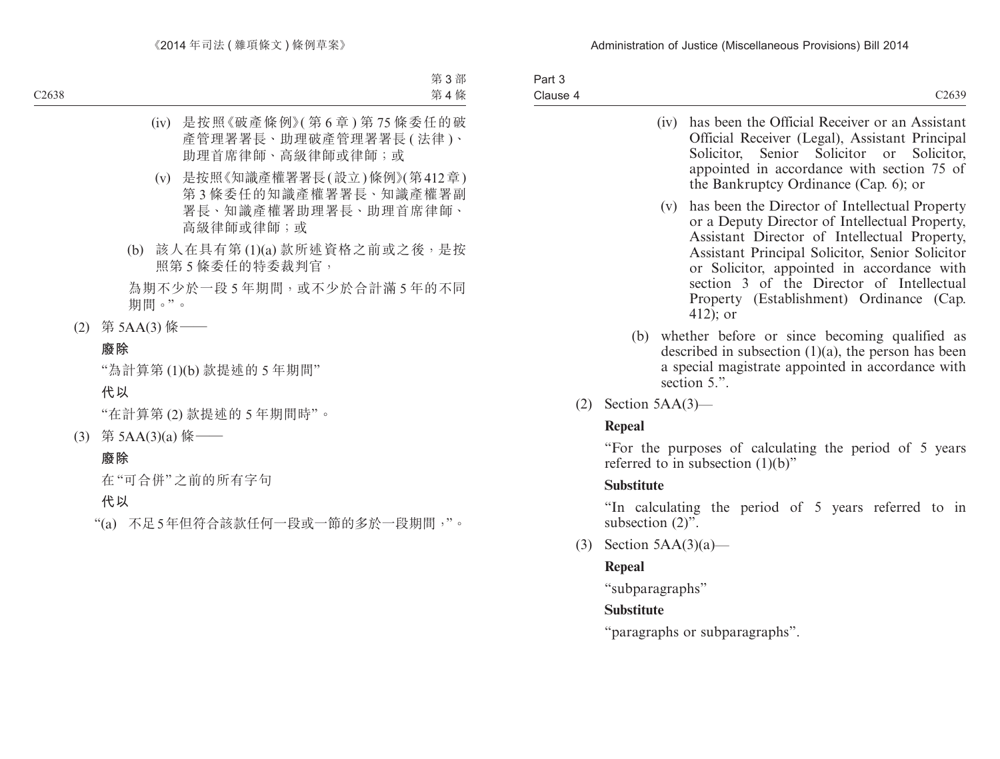| Part 3   |                    |
|----------|--------------------|
| Clause 4 | C <sub>26</sub> 39 |

- (iv) has been the Official Receiver or an Assistant Official Receiver (Legal), Assistant Principal Solicitor, Senior Solicitor or Solicitor, appointed in accordance with section 75 of the Bankruptcy Ordinance (Cap. 6); or
- (v) has been the Director of Intellectual Property or a Deputy Director of Intellectual Property, Assistant Director of Intellectual Property, Assistant Principal Solicitor, Senior Solicitor or Solicitor, appointed in accordance with section 3 of the Director of Intellectual Property (Establishment) Ordinance (Cap. 412); or
- (b) whether before or since becoming qualified as described in subsection  $(1)(a)$ , the person has been a special magistrate appointed in accordance with section 5.".
- $(2)$  Section 5AA $(3)$ —

# **Repeal**

"For the purposes of calculating the period of 5 years referred to in subsection  $(1)(b)$ "

# **Substitute**

"In calculating the period of 5 years referred to in subsection  $(2)$ ".

(3) Section  $5AA(3)(a)$ —

# **Repeal**

"subparagraphs"

# **Substitute**

"paragraphs or subparagraphs".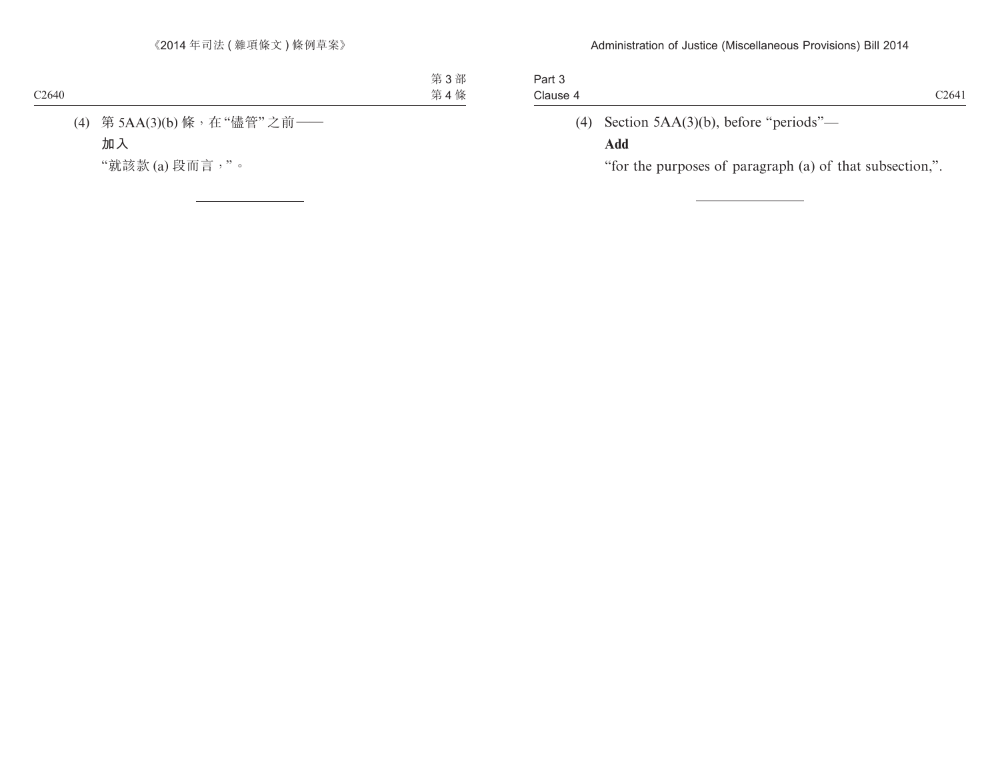| Part 3   |                                             |                   |
|----------|---------------------------------------------|-------------------|
| Clause 4 |                                             | C <sub>2641</sub> |
|          | (4) Section $5AA(3)(b)$ , before "periods"— |                   |

# **Add**

"for the purposes of paragraph (a) of that subsection,".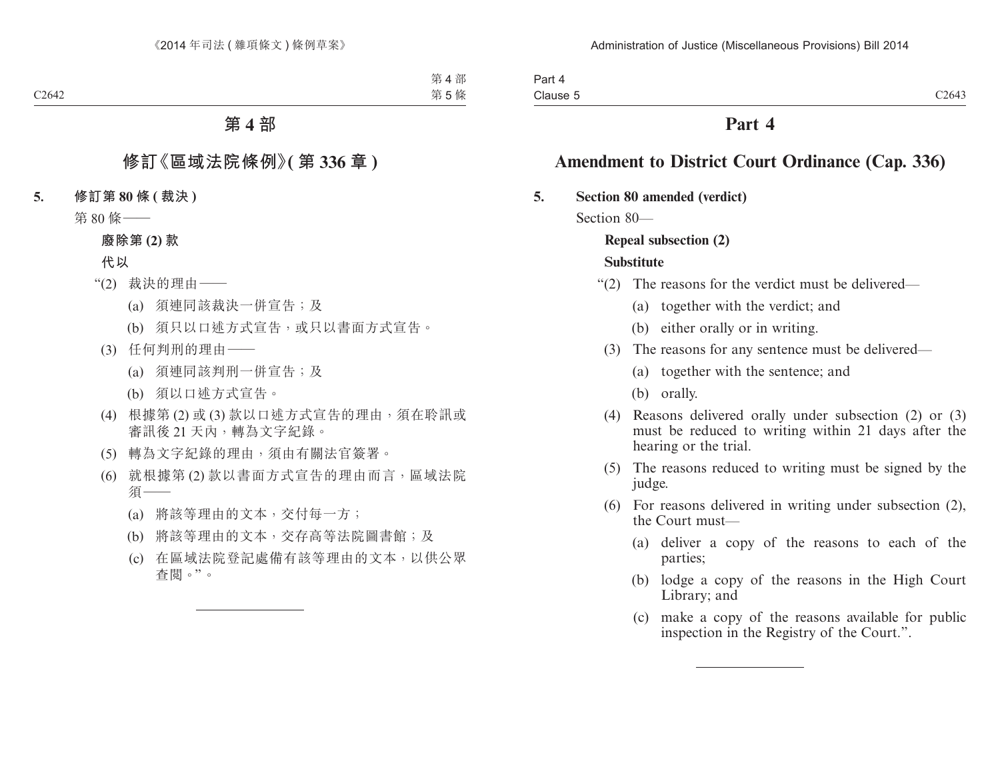# **Part 4**

# **Amendment to District Court Ordinance (Cap. 336)**

# **5. Section 80 amended (verdict)**

Section 80—

# **Repeal subsection (2)**

# **Substitute**

- "(2) The reasons for the verdict must be delivered—
	- (a) together with the verdict; and
	- (b) either orally or in writing.
	- (3) The reasons for any sentence must be delivered—
		- (a) together with the sentence; and
		- (b) orally.
	- (4) Reasons delivered orally under subsection (2) or (3) must be reduced to writing within 21 days after the hearing or the trial.
	- (5) The reasons reduced to writing must be signed by the judge.
	- (6) For reasons delivered in writing under subsection (2), the Court must—
		- (a) deliver a copy of the reasons to each of the parties;
		- (b) lodge a copy of the reasons in the High Court Library; and
		- (c) make a copy of the reasons available for public inspection in the Registry of the Court.".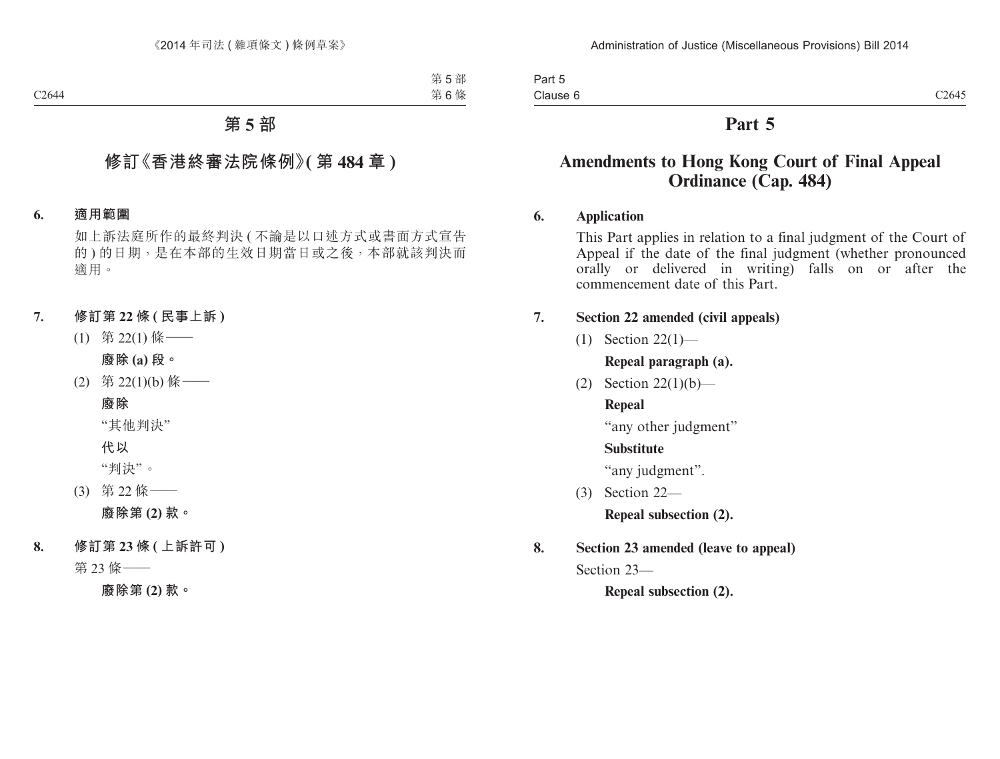Part 5 Clause 6

# **Part 5**

# **Amendments to Hong Kong Court of Final Appeal Ordinance (Cap. 484)**

# **6. Application**

This Part applies in relation to a final judgment of the Court of Appeal if the date of the final judgment (whether pronounced orally or delivered in writing) falls on or after the commencement date of this Part.

# **7. Section 22 amended (civil appeals)**

(1) Section 22(1)—

**Repeal paragraph (a).**

(2) Section 22(1)(b)—

# **Repeal**

"any other judgment"

# **Substitute**

"any judgment".

(3) Section 22—

**Repeal subsection (2).**

**8. Section 23 amended (leave to appeal)**

Section 23—

**Repeal subsection (2).**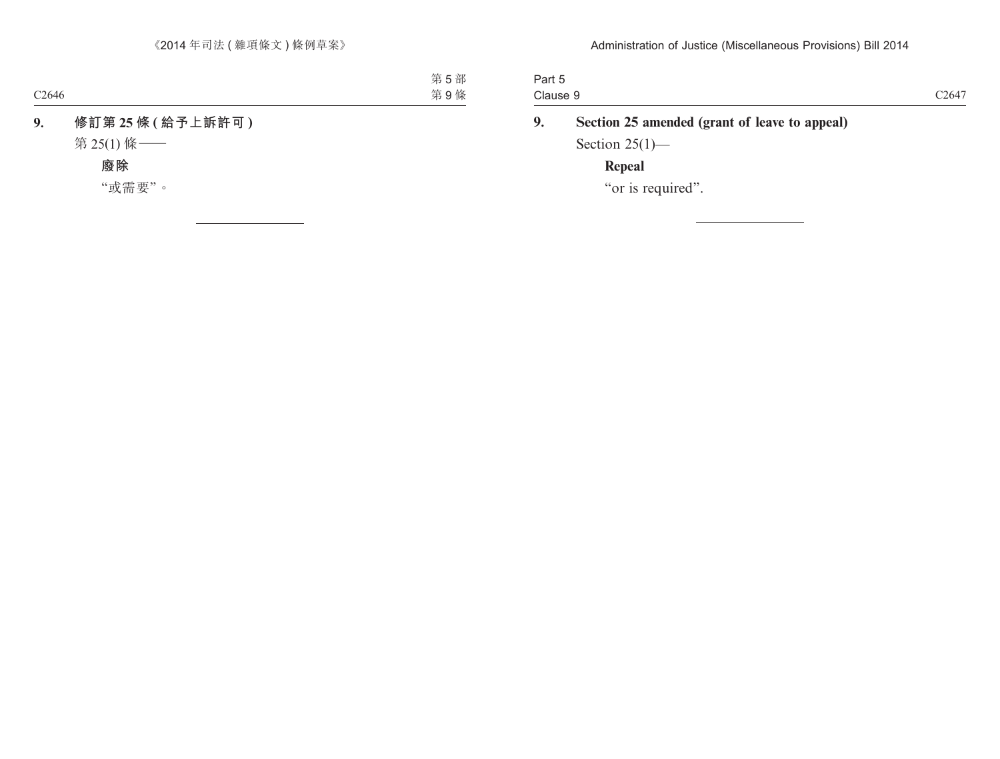| Clause 9 | C <sub>2647</sub> |
|----------|-------------------|
| Part 5   |                   |

| 9. | Section 25 amended (grant of leave to appeal) |
|----|-----------------------------------------------|
|    | Section $25(1)$ —                             |
|    | Repeal                                        |

"or is required".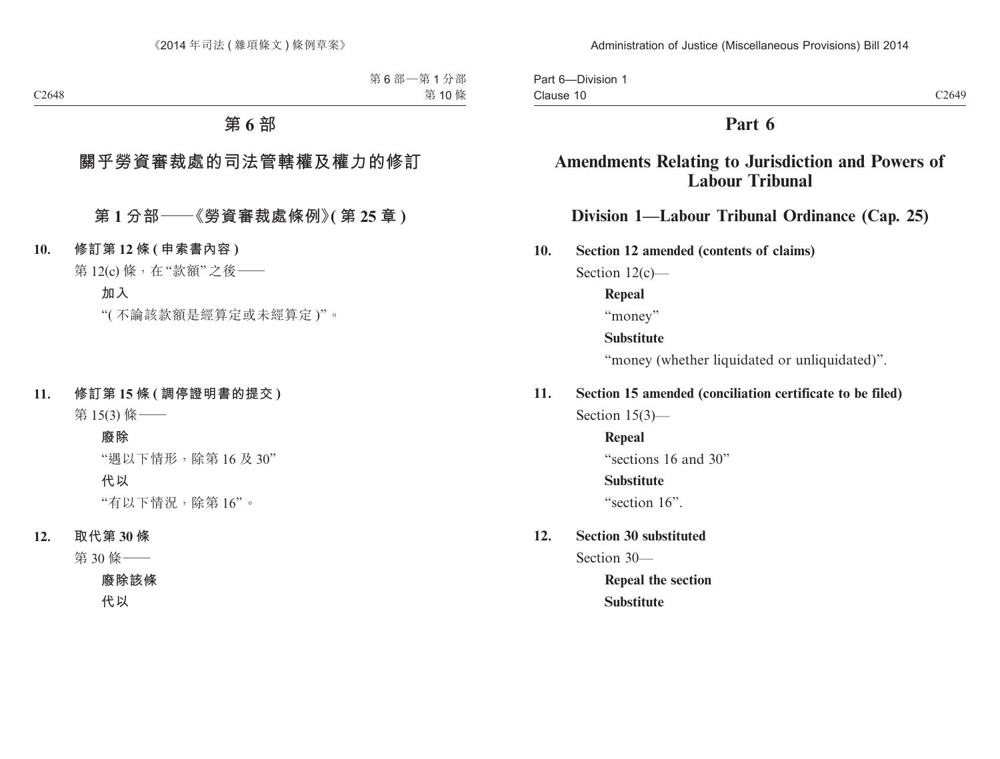# **Part 6**

# **Amendments Relating to Jurisdiction and Powers of Labour Tribunal**

# **Division 1—Labour Tribunal Ordinance (Cap. 25)**

**10. Section 12 amended (contents of claims)**

Section 12(c)—

**Repeal**

"money"

# **Substitute**

"money (whether liquidated or unliquidated)".

# **11. Section 15 amended (conciliation certificate to be filed)**

Section 15(3)—

**Repeal** "sections 16 and 30"

# **Substitute**

"section 16".

# **12. Section 30 substituted**

Section 30—

**Repeal the section Substitute**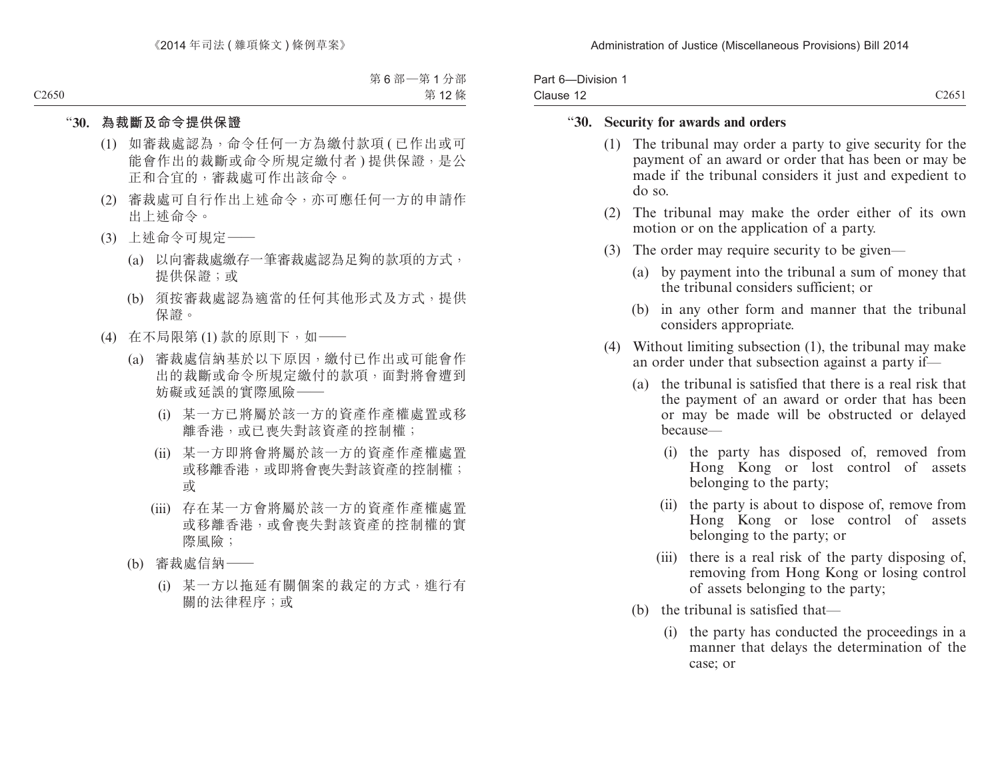| Part 6-Division 1 |                   |
|-------------------|-------------------|
| Clause 12         | C <sub>2651</sub> |

### "**30. Security for awards and orders**

- (1) The tribunal may order a party to give security for the payment of an award or order that has been or may be made if the tribunal considers it just and expedient to do so.
- (2) The tribunal may make the order either of its own motion or on the application of a party.
- (3) The order may require security to be given—
	- (a) by payment into the tribunal a sum of money that the tribunal considers sufficient; or
	- (b) in any other form and manner that the tribunal considers appropriate.
- (4) Without limiting subsection (1), the tribunal may make an order under that subsection against a party if—
	- (a) the tribunal is satisfied that there is a real risk that the payment of an award or order that has been or may be made will be obstructed or delayed because—
		- (i) the party has disposed of, removed from Hong Kong or lost control of assets belonging to the party;
		- (ii) the party is about to dispose of, remove from Hong Kong or lose control of assets belonging to the party; or
		- (iii) there is a real risk of the party disposing of, removing from Hong Kong or losing control of assets belonging to the party;
	- (b) the tribunal is satisfied that—
		- (i) the party has conducted the proceedings in a manner that delays the determination of the case; or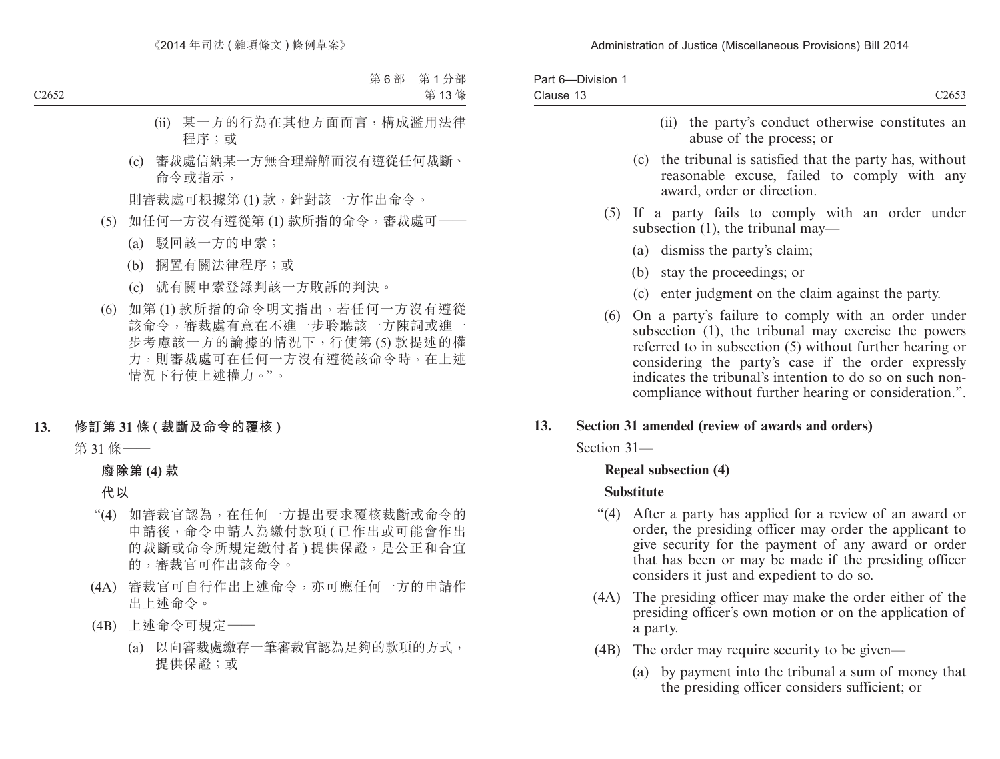|           | Part 6-Division 1 |                                                                                                                                                                                                                                                                                                                                                     |
|-----------|-------------------|-----------------------------------------------------------------------------------------------------------------------------------------------------------------------------------------------------------------------------------------------------------------------------------------------------------------------------------------------------|
| Clause 13 |                   | C <sub>2653</sub>                                                                                                                                                                                                                                                                                                                                   |
|           |                   | the party's conduct otherwise constitutes an<br>(ii)<br>abuse of the process; or                                                                                                                                                                                                                                                                    |
|           |                   | (c) the tribunal is satisfied that the party has, without<br>reasonable excuse, failed to comply with any<br>award, order or direction.                                                                                                                                                                                                             |
|           |                   | (5) If a party fails to comply with an order under<br>subsection $(1)$ , the tribunal may—                                                                                                                                                                                                                                                          |
|           |                   | (a) dismiss the party's claim;                                                                                                                                                                                                                                                                                                                      |
|           |                   | stay the proceedings; or<br>(b)                                                                                                                                                                                                                                                                                                                     |
|           |                   | (c) enter judgment on the claim against the party.                                                                                                                                                                                                                                                                                                  |
|           | (6)               | On a party's failure to comply with an order under<br>subsection (1), the tribunal may exercise the powers<br>referred to in subsection (5) without further hearing or<br>considering the party's case if the order expressly<br>indicates the tribunal's intention to do so on such non-<br>compliance without further hearing or consideration.". |
| 13.       |                   | Section 31 amended (review of awards and orders)                                                                                                                                                                                                                                                                                                    |
|           | Section 31-       |                                                                                                                                                                                                                                                                                                                                                     |
|           |                   | <b>Repeal subsection (4)</b>                                                                                                                                                                                                                                                                                                                        |
|           |                   | Substitute                                                                                                                                                                                                                                                                                                                                          |

- "(4) After a party has applied for a review of an award or order, the presiding officer may order the applicant to give security for the payment of any award or order that has been or may be made if the presiding officer considers it just and expedient to do so.
- (4A) The presiding officer may make the order either of the presiding officer's own motion or on the application of a party.
- (4B) The order may require security to be given—
	- (a) by payment into the tribunal a sum of money that the presiding officer considers sufficient; or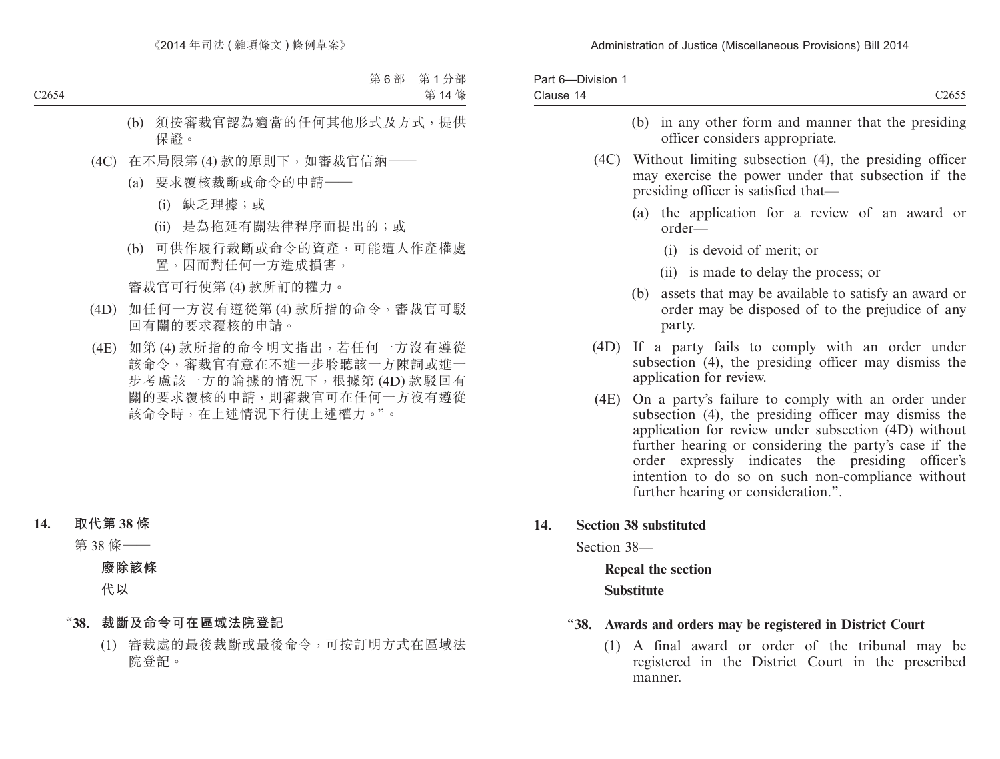| Part 6-Division 1<br>Clause 14 | C <sub>2655</sub>                                                                                                                                                                                                                                                                                                                                                              |
|--------------------------------|--------------------------------------------------------------------------------------------------------------------------------------------------------------------------------------------------------------------------------------------------------------------------------------------------------------------------------------------------------------------------------|
|                                | (b) in any other form and manner that the presiding<br>officer considers appropriate.                                                                                                                                                                                                                                                                                          |
|                                | (4C) Without limiting subsection (4), the presiding officer<br>may exercise the power under that subsection if the<br>presiding officer is satisfied that—                                                                                                                                                                                                                     |
|                                | (a) the application for a review of an award or<br>$order-$                                                                                                                                                                                                                                                                                                                    |
|                                | (i) is devoid of merit; or                                                                                                                                                                                                                                                                                                                                                     |
|                                | (ii) is made to delay the process; or                                                                                                                                                                                                                                                                                                                                          |
|                                | (b)<br>assets that may be available to satisfy an award or<br>order may be disposed of to the prejudice of any<br>party.                                                                                                                                                                                                                                                       |
| (4D)                           | If a party fails to comply with an order under<br>subsection (4), the presiding officer may dismiss the<br>application for review.                                                                                                                                                                                                                                             |
| (4E)                           | On a party's failure to comply with an order under<br>subsection (4), the presiding officer may dismiss the<br>application for review under subsection (4D) without<br>further hearing or considering the party's case if the<br>order expressly indicates the presiding officer's<br>intention to do so on such non-compliance without<br>further hearing or consideration.". |
| 14.                            | <b>Section 38 substituted</b>                                                                                                                                                                                                                                                                                                                                                  |
| Section 38-                    |                                                                                                                                                                                                                                                                                                                                                                                |
|                                | Repeal the section                                                                                                                                                                                                                                                                                                                                                             |
|                                | <b>Substitute</b>                                                                                                                                                                                                                                                                                                                                                              |

### "**38. Awards and orders may be registered in District Court**

(1) A final award or order of the tribunal may be registered in the District Court in the prescribed manner.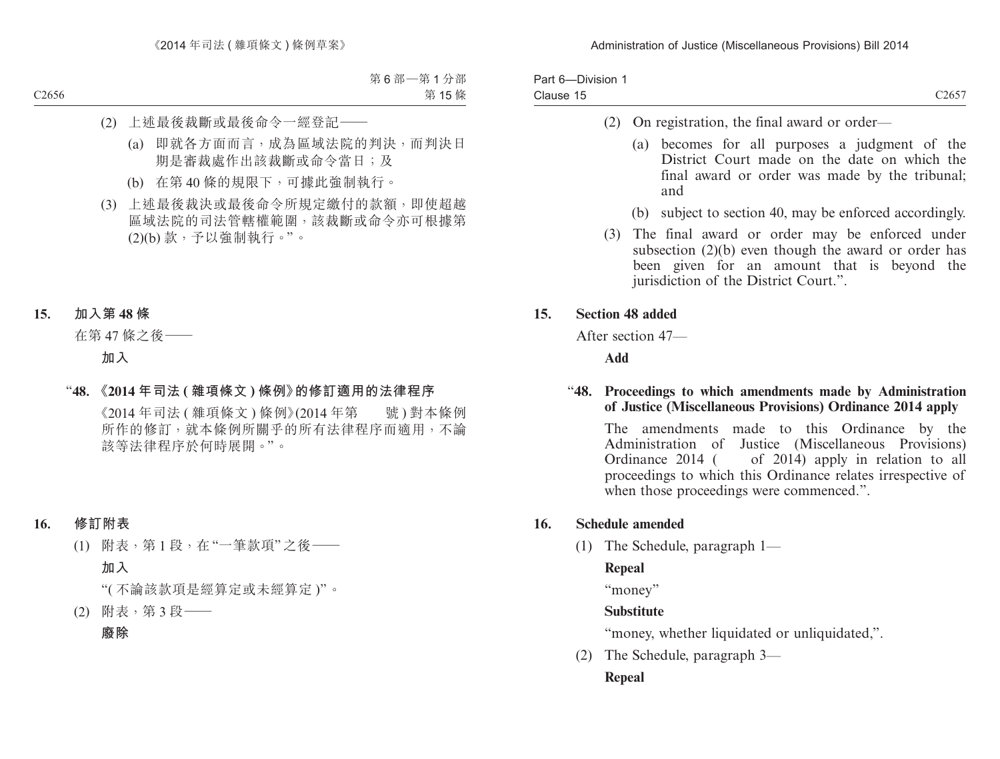| Part 6-Division 1 |                   |
|-------------------|-------------------|
| Clause 15         | C <sub>2657</sub> |

- (2) On registration, the final award or order—
	- (a) becomes for all purposes a judgment of the District Court made on the date on which the final award or order was made by the tribunal; and
	- (b) subject to section 40, may be enforced accordingly.
- (3) The final award or order may be enforced under subsection (2)(b) even though the award or order has been given for an amount that is beyond the jurisdiction of the District Court.".

# **15. Section 48 added**

After section 47—

**Add**

### "**48. Proceedings to which amendments made by Administration of Justice (Miscellaneous Provisions) Ordinance 2014 apply**

The amendments made to this Ordinance by the Administration of Justice (Miscellaneous Provisions)<br>Ordinance 2014 ( of 2014) apply in relation to all of  $2014$  apply in relation to all proceedings to which this Ordinance relates irrespective of when those proceedings were commenced.".

# **16. Schedule amended**

(1) The Schedule, paragraph 1—

# **Repeal**

"money"

# **Substitute**

"money, whether liquidated or unliquidated,".

(2) The Schedule, paragraph 3—

# **Repeal**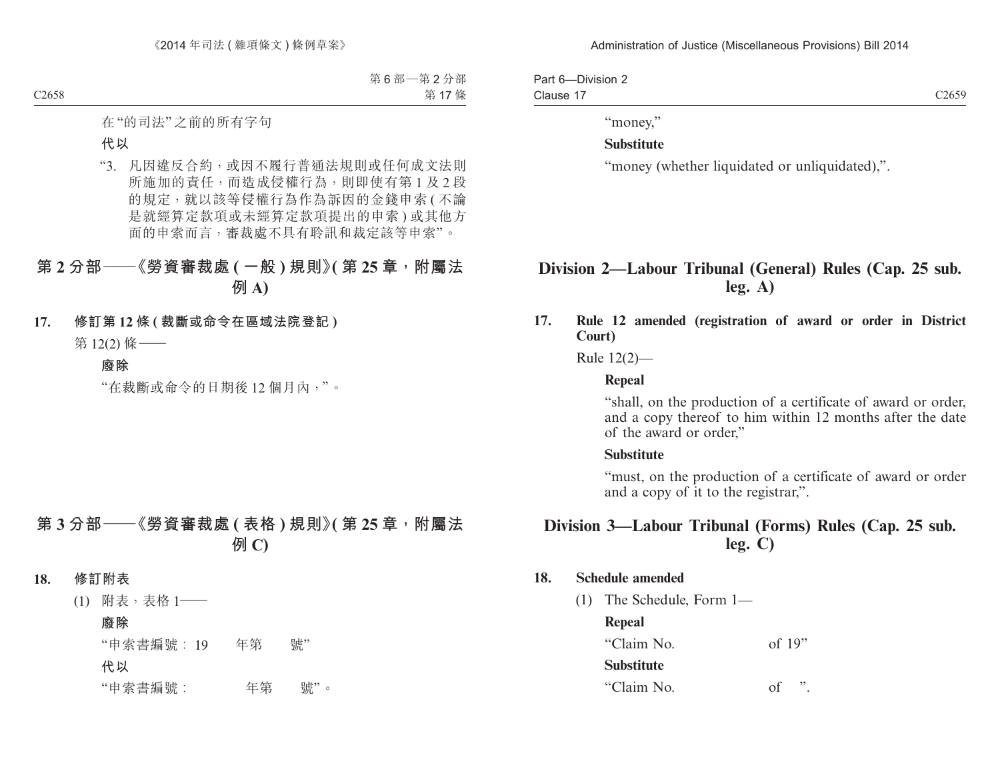Part 6—Division 2 Clause 17

#### "money,"

#### **Substitute**

"money (whether liquidated or unliquidated),".

# **Division 2—Labour Tribunal (General) Rules (Cap. 25 sub. leg. A)**

**17. Rule 12 amended (registration of award or order in District Court)**

Rule 12(2)—

#### **Repeal**

"shall, on the production of a certificate of award or order, and a copy thereof to him within 12 months after the date of the award or order,"

#### **Substitute**

"must, on the production of a certificate of award or order and a copy of it to the registrar,".

# **Division 3—Labour Tribunal (Forms) Rules (Cap. 25 sub. leg. C)**

### **18. Schedule amended**

(1) The Schedule, Form 1—

#### **Repeal**

"Claim No. of 19" **Substitute** "Claim No. of ".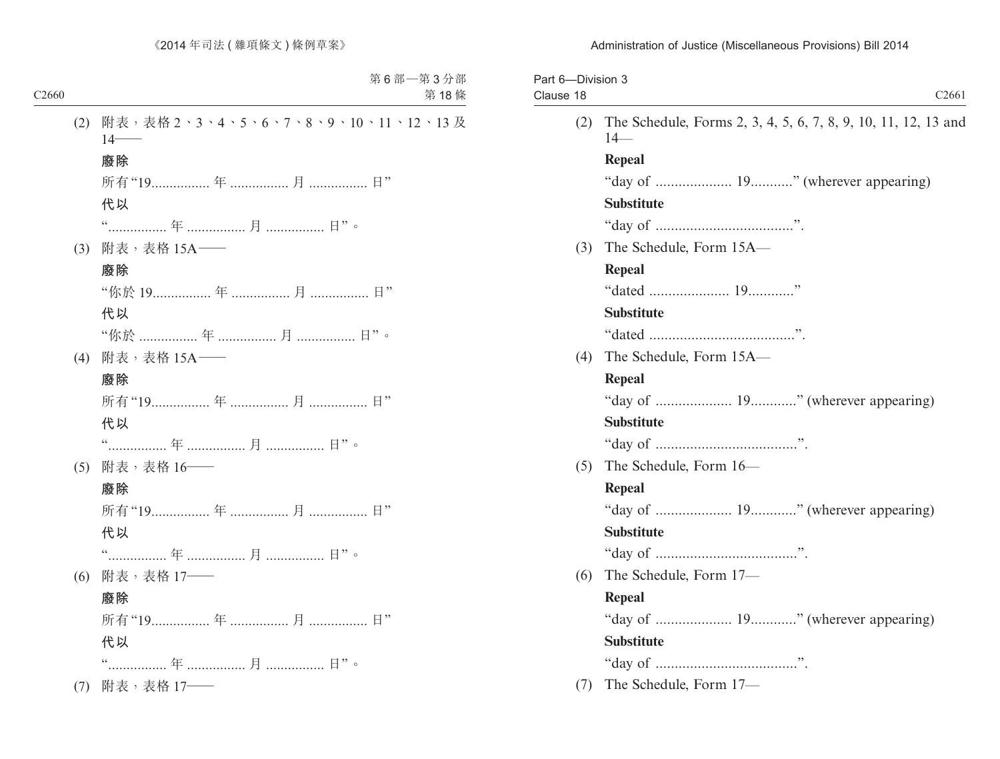| Part 6-Division 3<br>Clause 18 |     | C <sub>2661</sub>                                                       |
|--------------------------------|-----|-------------------------------------------------------------------------|
|                                | (2) | The Schedule, Forms 2, 3, 4, 5, 6, 7, 8, 9, 10, 11, 12, 13 and<br>$14-$ |
|                                |     | <b>Repeal</b>                                                           |
|                                |     | "day of  19" (wherever appearing)                                       |
|                                |     | <b>Substitute</b>                                                       |
|                                |     |                                                                         |
|                                | (3) | The Schedule, Form 15A-                                                 |
|                                |     | Repeal                                                                  |
|                                |     |                                                                         |
|                                |     | <b>Substitute</b>                                                       |
|                                |     |                                                                         |
|                                | (4) | The Schedule, Form 15A-                                                 |
|                                |     | Repeal                                                                  |
|                                |     |                                                                         |
|                                |     | <b>Substitute</b>                                                       |
|                                |     |                                                                         |
|                                | (5) | The Schedule, Form 16-                                                  |
|                                |     | Repeal                                                                  |
|                                |     | "day of " (wherever appearing)                                          |
|                                |     | <b>Substitute</b>                                                       |
|                                |     |                                                                         |
|                                | (6) | The Schedule, Form 17-                                                  |
|                                |     | <b>Repeal</b>                                                           |
|                                |     | "day of " (wherever appearing)                                          |
|                                |     | <b>Substitute</b>                                                       |
|                                |     |                                                                         |
|                                | (7) | The Schedule, Form 17-                                                  |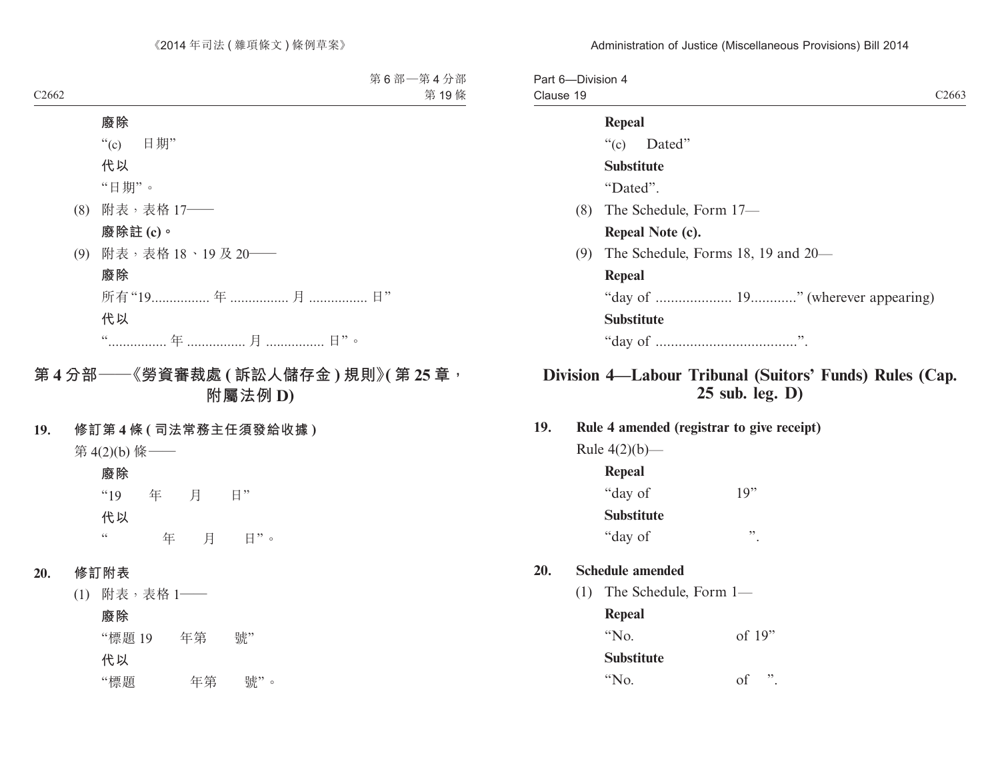| Part 6-Division 4<br>Clause 19 | C <sub>2663</sub>                  |
|--------------------------------|------------------------------------|
|                                | <b>Repeal</b>                      |
|                                | " $(c)$ Dated"                     |
|                                | <b>Substitute</b>                  |
|                                | "Dated".                           |
| (8)                            | The Schedule, Form 17—             |
|                                | Repeal Note (c).                   |
| (9)                            | The Schedule, Forms 18, 19 and 20— |
|                                | <b>Repeal</b>                      |
|                                | "day of " (wherever appearing)     |
|                                | <b>Substitute</b>                  |
|                                |                                    |

# **Division 4—Labour Tribunal (Suitors' Funds) Rules (Cap. 25 sub. leg. D)**

**19. Rule 4 amended (registrar to give receipt)**

Rule  $4(2)(b)$ — **Repeal** "day of 19" **Substitute** "day of ".

#### **20. Schedule amended**

(1) The Schedule, Form 1—

**Repeal**

"No. of 19"

**Substitute**

"No. of ".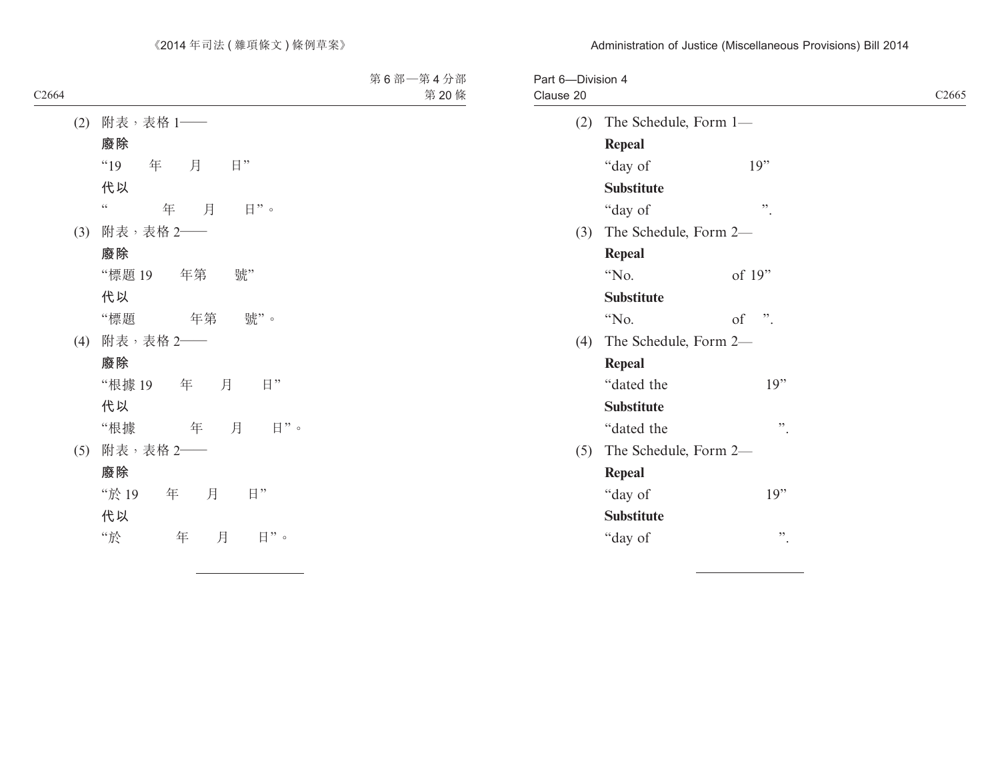| Clause 20 |                       |                        | C <sub>2665</sub> |
|-----------|-----------------------|------------------------|-------------------|
| (2)       | The Schedule, Form 1- |                        |                   |
|           | <b>Repeal</b>         |                        |                   |
|           | "day of               | 19"                    |                   |
|           | <b>Substitute</b>     |                        |                   |
|           | "day of               | "                      |                   |
| (3)       | The Schedule, Form 2- |                        |                   |
|           | <b>Repeal</b>         |                        |                   |
|           | "No.                  | of 19"                 |                   |
|           | <b>Substitute</b>     |                        |                   |
|           | "No.                  | $\ddot{\cdot}$ .<br>of |                   |
| (4)       | The Schedule, Form 2- |                        |                   |
|           | <b>Repeal</b>         |                        |                   |
|           | "dated the            | 19"                    |                   |
|           | <b>Substitute</b>     |                        |                   |
|           | "dated the            | ,,                     |                   |
| (5)       | The Schedule, Form 2- |                        |                   |
|           | <b>Repeal</b>         |                        |                   |
|           | "day of               | 19"                    |                   |
|           | <b>Substitute</b>     |                        |                   |
|           | "day of               | ,,                     |                   |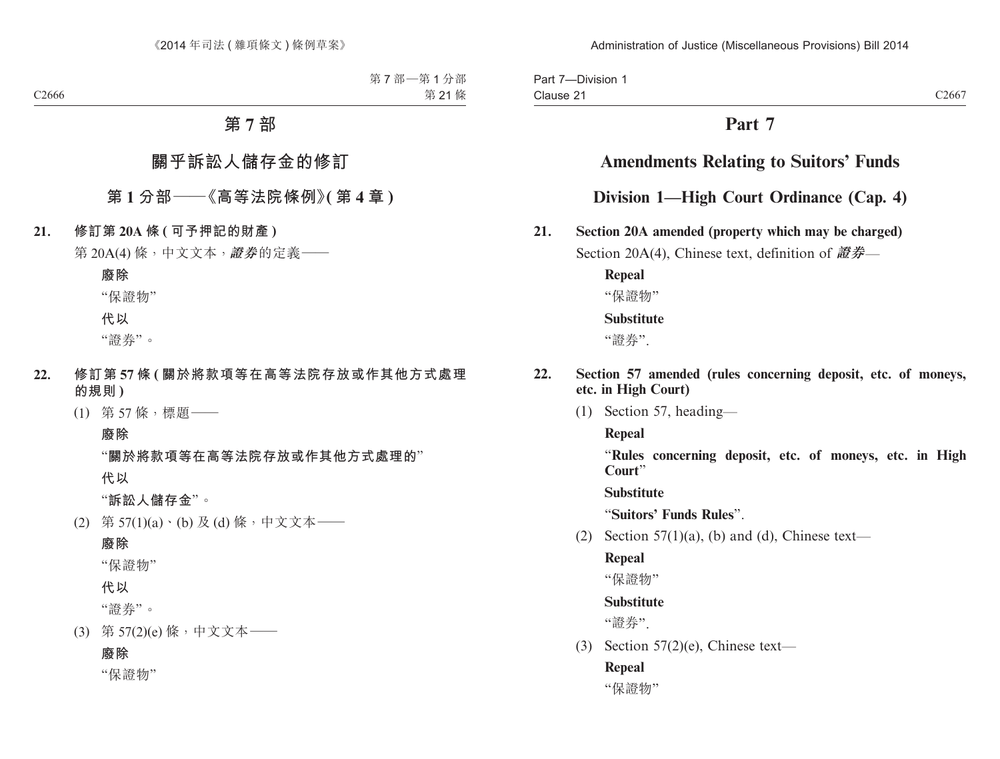Part 7—Division 1 Clause 21

# **Part 7**

# **Amendments Relating to Suitors' Funds**

# **Division 1—High Court Ordinance (Cap. 4)**

**21. Section 20A amended (property which may be charged)**

Section 20A(4), Chinese text, definition of **證券**—

**Repeal** "保證物" **Substitute**

"證券".

### **22. Section 57 amended (rules concerning deposit, etc. of moneys, etc. in High Court)**

(1) Section 57, heading—

**Repeal**

"**Rules concerning deposit, etc. of moneys, etc. in High Court**"

**Substitute**

"**Suitors' Funds Rules**".

(2) Section  $57(1)(a)$ , (b) and (d), Chinese text—

### **Repeal**

"保證物"

# **Substitute**

"證券".

(3) Section  $57(2)$ (e), Chinese text—

# **Repeal**

"保證物"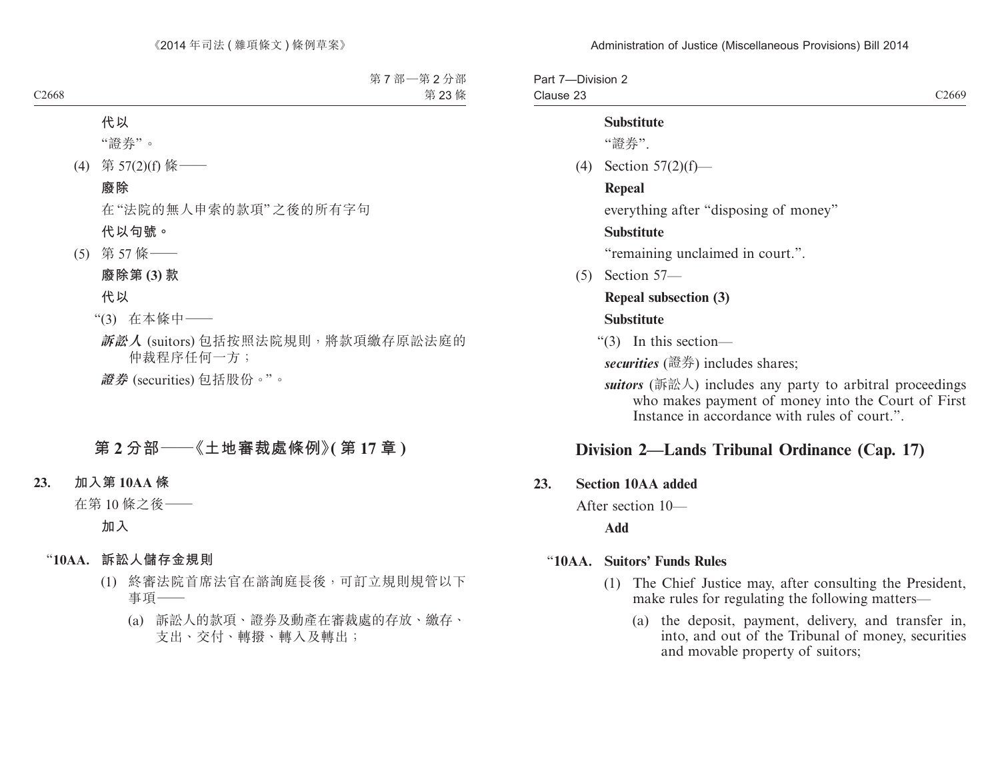Part 7—Division 2 Clause 23 C<sub>2669</sub>

#### **Substitute**

"證券".

(4) Section 57(2)(f)—

#### **Repeal**

everything after "disposing of money"

#### **Substitute**

"remaining unclaimed in court.".

(5) Section 57—

# **Repeal subsection (3)**

#### **Substitute**

"(3) In this section—

*securities* (證券) includes shares;

*suitors* (訴訟人) includes any party to arbitral proceedings who makes payment of money into the Court of First Instance in accordance with rules of court."

# **Division 2—Lands Tribunal Ordinance (Cap. 17)**

#### **23. Section 10AA added**

After section 10—

**Add**

#### "**10AA. Suitors' Funds Rules**

- (1) The Chief Justice may, after consulting the President, make rules for regulating the following matters—
	- (a) the deposit, payment, delivery, and transfer in, into, and out of the Tribunal of money, securities and movable property of suitors;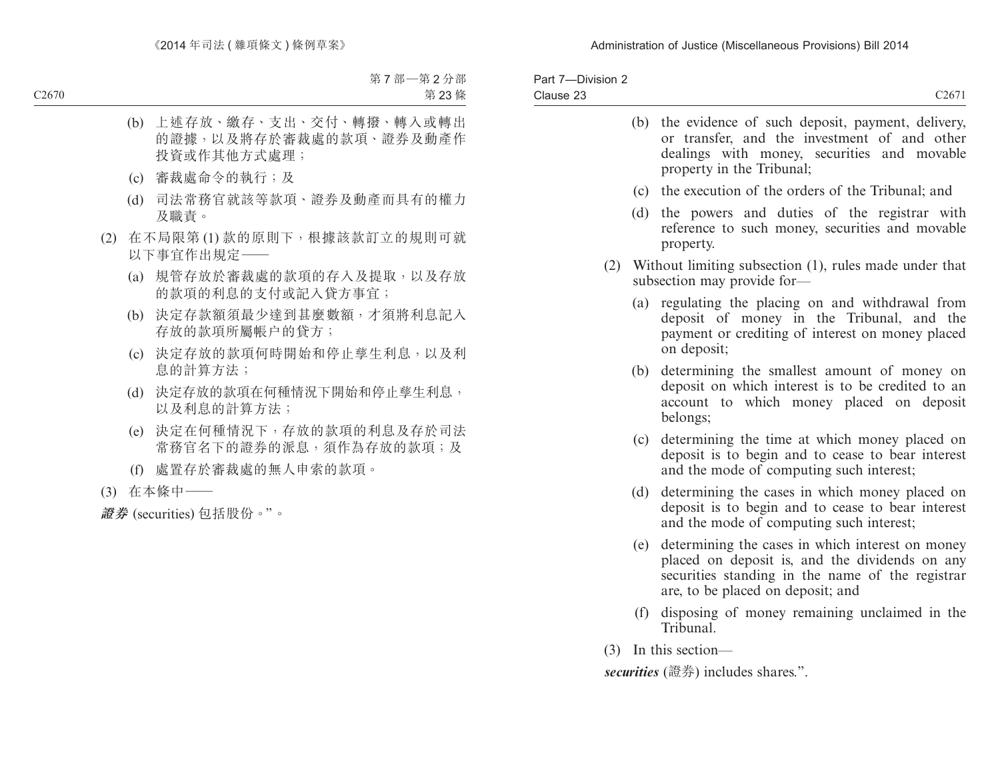| Part 7-Division 2 |          |
|-------------------|----------|
| Clause 23         | $C267_1$ |

|     |     | (b) the evidence of such deposit, payment, delivery,<br>or transfer, and the investment of and other<br>dealings with money, securities and movable<br>property in the Tribunal; |
|-----|-----|----------------------------------------------------------------------------------------------------------------------------------------------------------------------------------|
|     |     | (c) the execution of the orders of the Tribunal; and                                                                                                                             |
|     |     | (d) the powers and duties of the registrar with<br>reference to such money, securities and movable<br>property.                                                                  |
| (2) |     | Without limiting subsection (1), rules made under that<br>subsection may provide for-                                                                                            |
|     | (a) | regulating the placing on and withdrawal from<br>deposit of money in the Tribunal, and the<br>payment or crediting of interest on money placed<br>on deposit;                    |
|     | (b) | determining the smallest amount of money on<br>deposit on which interest is to be credited to an<br>account to which money placed on deposit<br>belongs;                         |
|     | (c) | determining the time at which money placed on<br>deposit is to begin and to cease to bear interest<br>and the mode of computing such interest;                                   |
|     | (d) | determining the cases in which money placed on<br>deposit is to begin and to cease to bear interest<br>and the mode of computing such interest;                                  |
|     |     | $(e)$ determining the cases in which interest on money                                                                                                                           |

- (e) determining the cases in which interest on money placed on deposit is, and the dividends on any securities standing in the name of the registrar are, to be placed on deposit; and
- (f) disposing of money remaining unclaimed in the Tribunal.
- (3) In this section—

*securities* (證券) includes shares.".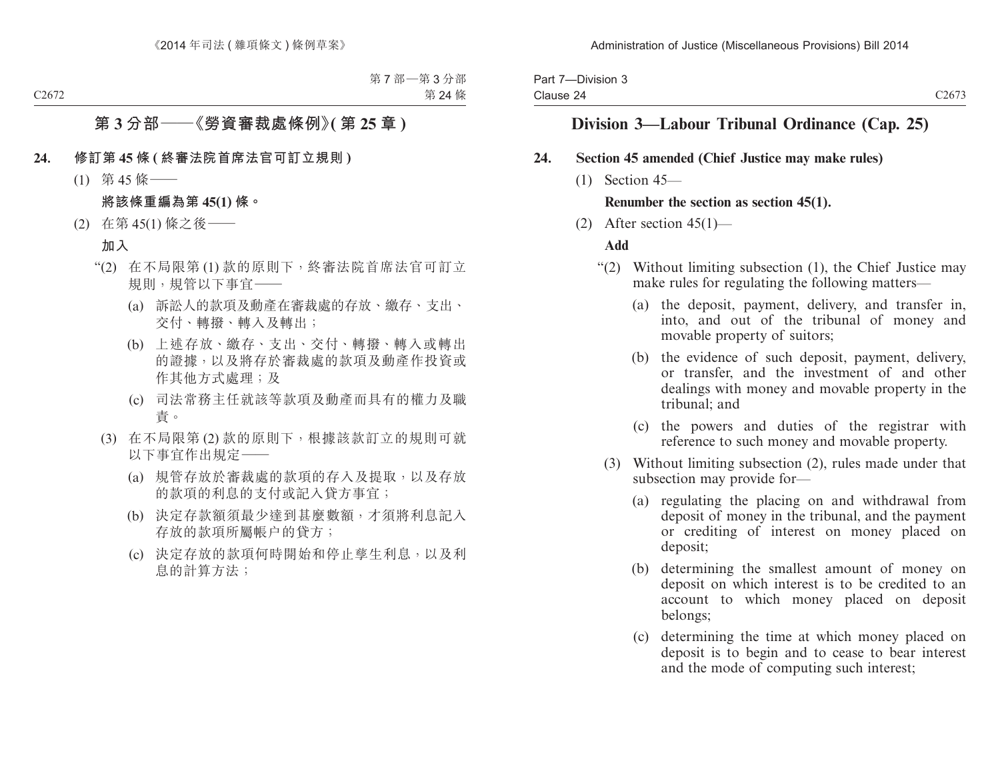| Part 7-Division 3 |                   |
|-------------------|-------------------|
| Clause 24         | C <sub>2673</sub> |

# **Division 3—Labour Tribunal Ordinance (Cap. 25)**

#### **24. Section 45 amended (Chief Justice may make rules)**

(1) Section 45—

### **Renumber the section as section 45(1).**

(2) After section  $45(1)$ —

### **Add**

- "(2) Without limiting subsection (1), the Chief Justice may make rules for regulating the following matters—
	- (a) the deposit, payment, delivery, and transfer in, into, and out of the tribunal of money and movable property of suitors;
	- (b) the evidence of such deposit, payment, delivery, or transfer, and the investment of and other dealings with money and movable property in the tribunal; and
	- (c) the powers and duties of the registrar with reference to such money and movable property.
	- (3) Without limiting subsection (2), rules made under that subsection may provide for—
		- (a) regulating the placing on and withdrawal from deposit of money in the tribunal, and the payment or crediting of interest on money placed on deposit;
		- (b) determining the smallest amount of money on deposit on which interest is to be credited to an account to which money placed on deposit belongs;
		- (c) determining the time at which money placed on deposit is to begin and to cease to bear interest and the mode of computing such interest;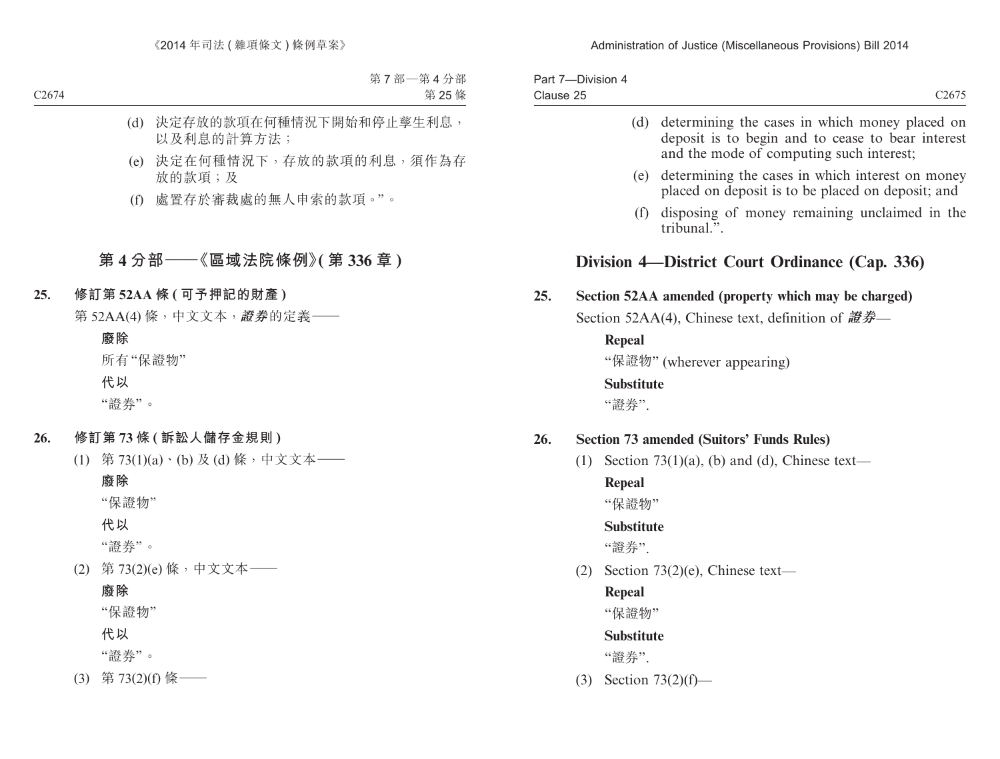| Part 7-Division 4 |                                                                                                                                                     |
|-------------------|-----------------------------------------------------------------------------------------------------------------------------------------------------|
| Clause 25         | C <sub>2675</sub>                                                                                                                                   |
|                   | (d) determining the cases in which money placed on<br>deposit is to begin and to cease to bear interest<br>and the mode of computing such interest; |

- (e) determining the cases in which interest on money placed on deposit is to be placed on deposit; and
- (f) disposing of money remaining unclaimed in the  $\text{tri}\widehat{\text{h}}$ unal $\overline{v}$ .

# **Division 4—District Court Ordinance (Cap. 336)**

# **25. Section 52AA amended (property which may be charged)**

Section 52AA(4), Chinese text, definition of **證券**—

**Repeal**

"保證物" (wherever appearing)

#### **Substitute**

"證券".

### **26. Section 73 amended (Suitors' Funds Rules)**

(1) Section  $73(1)(a)$ , (b) and (d), Chinese text—

#### **Repeal**

"保證物"

# **Substitute**

"證券".

(2) Section  $73(2)(e)$ , Chinese text—

# **Repeal**

"保證物"

# **Substitute**

"證券".

(3) Section 73(2)(f)—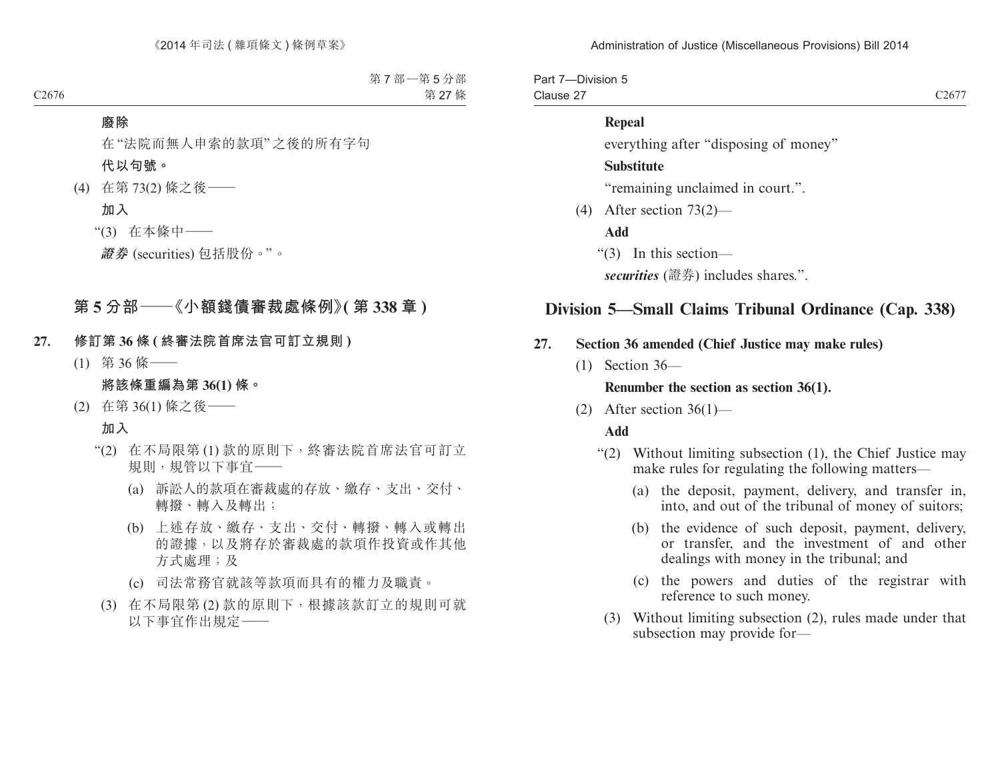Part 7—Division 5 Clause 27 C2677

#### **Repeal**

everything after "disposing of money"

#### **Substitute**

"remaining unclaimed in court.".

(4) After section 73(2)—

**Add**

"(3) In this section—

*securities* (證券) includes shares.".

# **Division 5—Small Claims Tribunal Ordinance (Cap. 338)**

# **27. Section 36 amended (Chief Justice may make rules)**

(1) Section 36—

#### **Renumber the section as section 36(1).**

(2) After section  $36(1)$ —

#### **Add**

- "(2) Without limiting subsection (1), the Chief Justice may make rules for regulating the following matters—
	- (a) the deposit, payment, delivery, and transfer in, into, and out of the tribunal of money of suitors;
	- (b) the evidence of such deposit, payment, delivery, or transfer, and the investment of and other dealings with money in the tribunal; and
	- (c) the powers and duties of the registrar with reference to such money.
	- (3) Without limiting subsection (2), rules made under that subsection may provide for—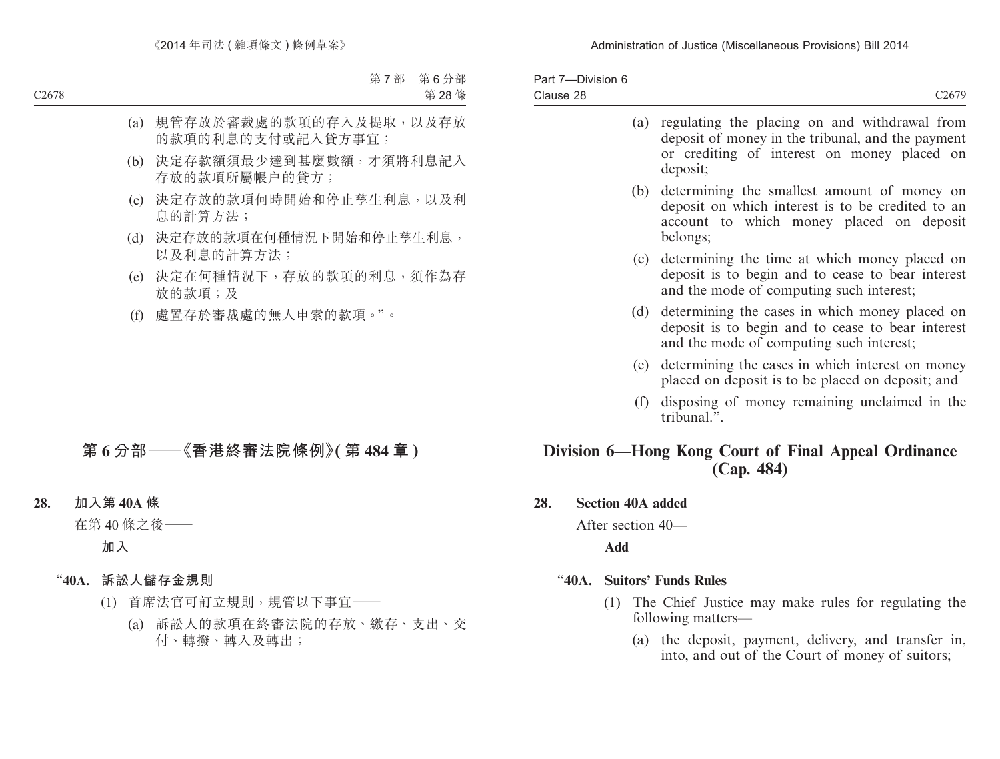| Part 7-Division 6<br>Clause 28                                     | C <sub>2679</sub>                                                                                                                                             |  |
|--------------------------------------------------------------------|---------------------------------------------------------------------------------------------------------------------------------------------------------------|--|
| (a)                                                                | regulating the placing on and withdrawal from<br>deposit of money in the tribunal, and the payment<br>or crediting of interest on money placed on<br>deposit; |  |
| (b)                                                                | determining the smallest amount of money on<br>deposit on which interest is to be credited to an<br>account to which money placed on deposit<br>belongs;      |  |
| (c)                                                                | determining the time at which money placed on<br>deposit is to begin and to cease to bear interest<br>and the mode of computing such interest;                |  |
| (d)                                                                | determining the cases in which money placed on<br>deposit is to begin and to cease to bear interest<br>and the mode of computing such interest;               |  |
| (e)                                                                | determining the cases in which interest on money<br>placed on deposit is to be placed on deposit; and                                                         |  |
| (f)                                                                | disposing of money remaining unclaimed in the<br>tribunal.".                                                                                                  |  |
| Division 6—Hong Kong Court of Final Appeal Ordinance<br>(Cap. 484) |                                                                                                                                                               |  |

### **28. Section 40A added**

After section 40—

**Add**

# "**40A. Suitors' Funds Rules**

- (1) The Chief Justice may make rules for regulating the following matters—
	- (a) the deposit, payment, delivery, and transfer in, into, and out of the Court of money of suitors;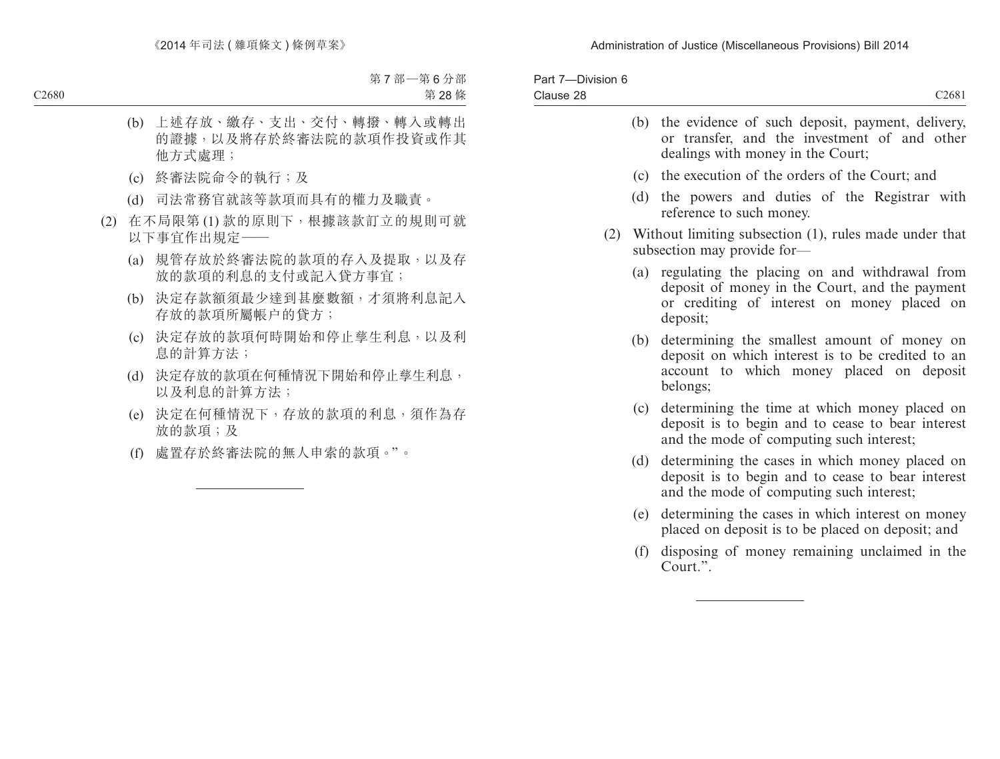| Part 7-Division 6<br>Clause 28 |     | C2681                                                                                                                                                      |
|--------------------------------|-----|------------------------------------------------------------------------------------------------------------------------------------------------------------|
|                                |     | (b) the evidence of such deposit, payment, delivery,<br>or transfer, and the investment of and other<br>dealings with money in the Court;                  |
|                                | (c) | the execution of the orders of the Court; and                                                                                                              |
|                                | (d) | the powers and duties of the Registrar with<br>reference to such money.                                                                                    |
| (2)                            |     | Without limiting subsection (1), rules made under that<br>subsection may provide for-                                                                      |
|                                | (a) | regulating the placing on and withdrawal from<br>deposit of money in the Court, and the payment<br>or crediting of interest on money placed on<br>deposit; |
|                                | (b) | determining the smallest amount of money on<br>deposit on which interest is to be credited to an<br>account to which money placed on deposit<br>belongs;   |
|                                | (c) | determining the time at which money placed on<br>deposit is to begin and to cease to bear interest<br>and the mode of computing such interest;             |
|                                | (d) | determining the cases in which money placed on<br>deposit is to begin and to cease to bear interest<br>and the mode of computing such interest;            |
|                                | (e) | determining the cases in which interest on money<br>placed on deposit is to be placed on deposit; and                                                      |
|                                | (f) | disposing of money remaining unclaimed in the<br>Court.".                                                                                                  |
|                                |     |                                                                                                                                                            |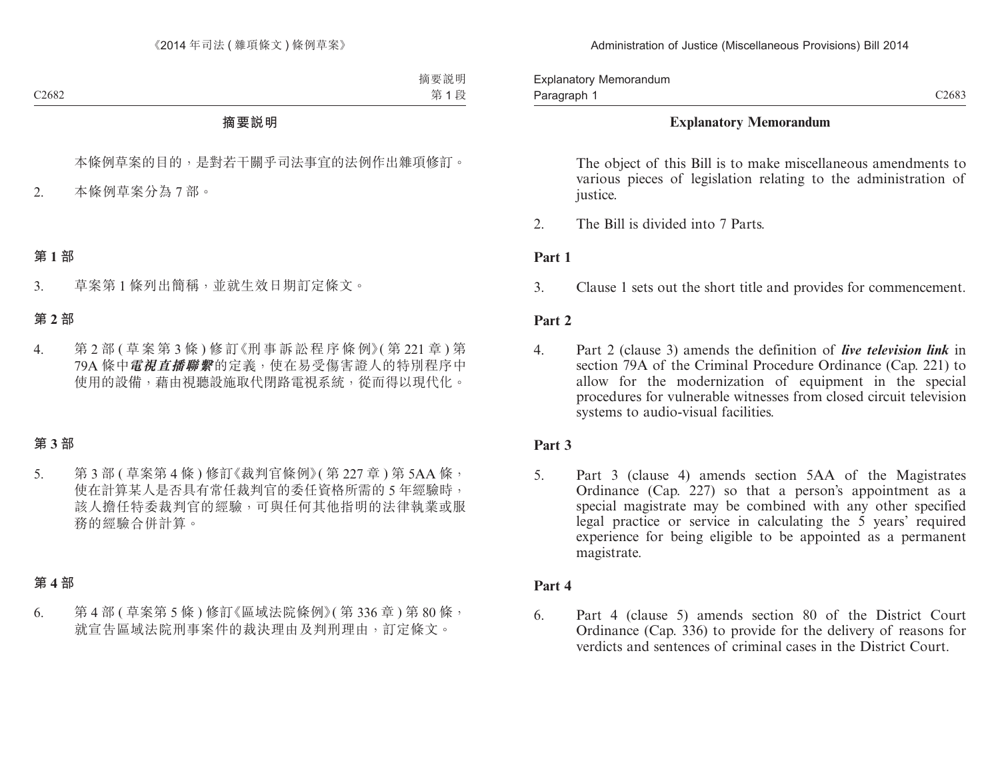Explanatory Memorandum Paragraph 1

### **Explanatory Memorandum**

The object of this Bill is to make miscellaneous amendments to various pieces of legislation relating to the administration of justice.

2. The Bill is divided into 7 Parts.

### **Part 1**

3. Clause 1 sets out the short title and provides for commencement.

### **Part 2**

4. Part 2 (clause 3) amends the definition of *live television link* in section 79A of the Criminal Procedure Ordinance (Cap. 221) to allow for the modernization of equipment in the special procedures for vulnerable witnesses from closed circuit television systems to audio-visual facilities.

# **Part 3**

5. Part 3 (clause 4) amends section 5AA of the Magistrates Ordinance (Cap. 227) so that a person's appointment as a special magistrate may be combined with any other specified legal practice or service in calculating the 5 years' required experience for being eligible to be appointed as a permanent magistrate.

# **Part 4**

6. Part 4 (clause 5) amends section 80 of the District Court Ordinance (Cap. 336) to provide for the delivery of reasons for verdicts and sentences of criminal cases in the District Court.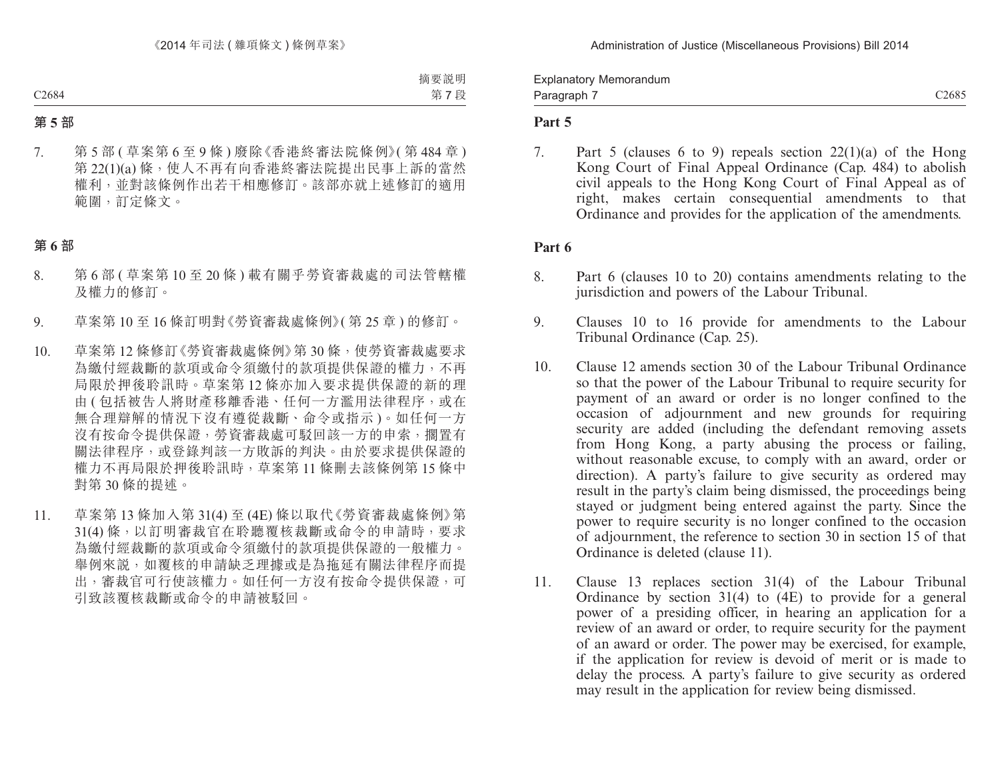Explanatory Memorandum Paragraph 7

C<sub>2685</sub>

### **Part 5**

7. Part 5 (clauses 6 to 9) repeals section 22(1)(a) of the Hong Kong Court of Final Appeal Ordinance (Cap. 484) to abolish civil appeals to the Hong Kong Court of Final Appeal as of right, makes certain consequential amendments to that Ordinance and provides for the application of the amendments.

#### **Part 6**

- 8. Part 6 (clauses 10 to 20) contains amendments relating to the jurisdiction and powers of the Labour Tribunal.
- 9. Clauses 10 to 16 provide for amendments to the Labour Tribunal Ordinance (Cap. 25).
- 10. Clause 12 amends section 30 of the Labour Tribunal Ordinance so that the power of the Labour Tribunal to require security for payment of an award or order is no longer confined to the occasion of adjournment and new grounds for requiring security are added (including the defendant removing assets from Hong Kong, a party abusing the process or failing, without reasonable excuse, to comply with an award, order or direction). A party's failure to give security as ordered may result in the party's claim being dismissed, the proceedings being stayed or judgment being entered against the party. Since the power to require security is no longer confined to the occasion of adjournment, the reference to section 30 in section 15 of that Ordinance is deleted (clause 11).
- 11. Clause 13 replaces section 31(4) of the Labour Tribunal Ordinance by section 31(4) to (4E) to provide for a general power of a presiding officer, in hearing an application for a review of an award or order, to require security for the payment of an award or order. The power may be exercised, for example, if the application for review is devoid of merit or is made to delay the process. A party's failure to give security as ordered may result in the application for review being dismissed.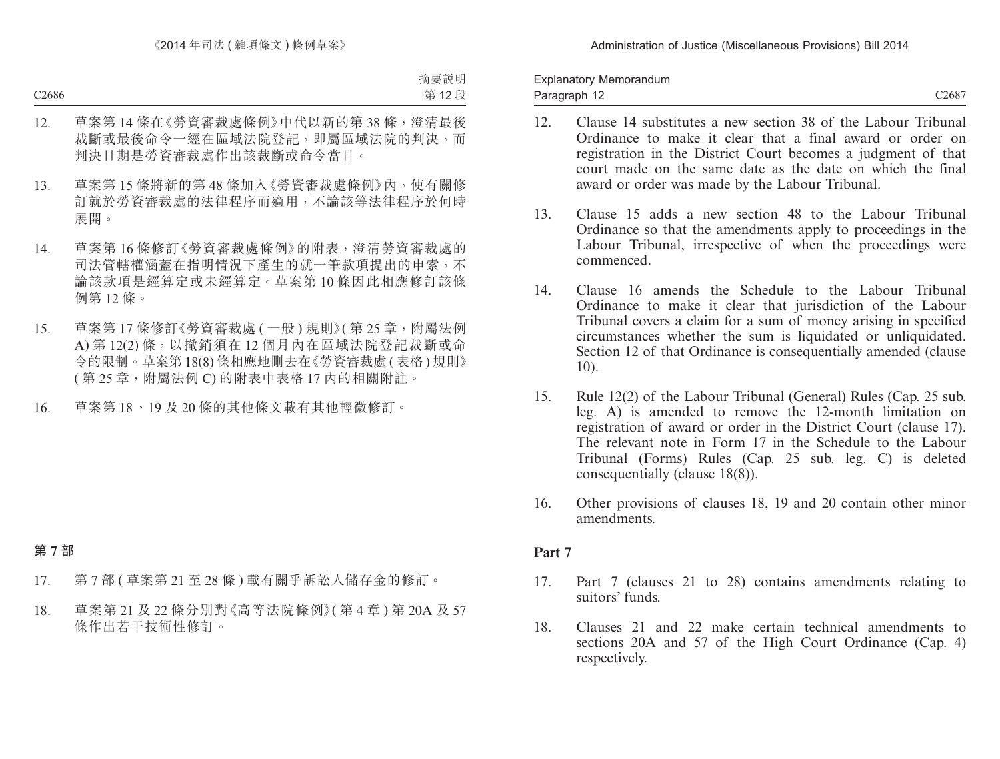Explanatory Memorandum Paragraph 12

C2687

- 12. Clause 14 substitutes a new section 38 of the Labour Tribunal Ordinance to make it clear that a final award or order on registration in the District Court becomes a judgment of that court made on the same date as the date on which the final award or order was made by the Labour Tribunal.
- 13. Clause 15 adds a new section 48 to the Labour Tribunal Ordinance so that the amendments apply to proceedings in the Labour Tribunal, irrespective of when the proceedings were commenced.
- 14. Clause 16 amends the Schedule to the Labour Tribunal Ordinance to make it clear that jurisdiction of the Labour Tribunal covers a claim for a sum of money arising in specified circumstances whether the sum is liquidated or unliquidated. Section 12 of that Ordinance is consequentially amended (clause 10).
- 15. Rule 12(2) of the Labour Tribunal (General) Rules (Cap. 25 sub. leg. A) is amended to remove the 12-month limitation on registration of award or order in the District Court (clause 17). The relevant note in Form 17 in the Schedule to the Labour Tribunal (Forms) Rules (Cap. 25 sub. leg. C) is deleted consequentially (clause 18(8)).
- 16. Other provisions of clauses 18, 19 and 20 contain other minor amendments.

### **Part 7**

- 17. Part 7 (clauses 21 to 28) contains amendments relating to suitors' funds.
- 18. Clauses 21 and 22 make certain technical amendments to sections 20A and 57 of the High Court Ordinance (Cap. 4) respectively.